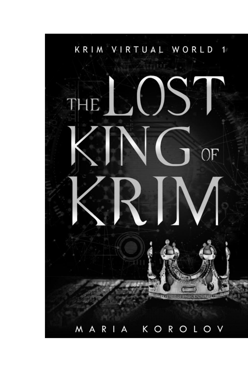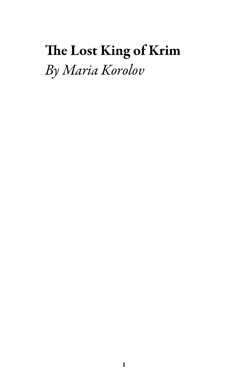# The Lost King of Krim *By Maria Korolov*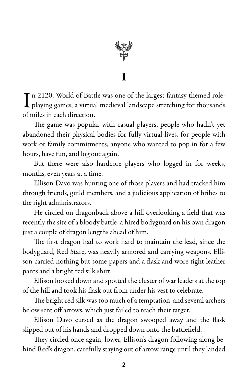

In 2120, World of Battle was one of the largest fantasy-themed role-<br>playing games, a virtual medieval landscape stretching for thousands  $\blacksquare$  n 2120, World of Battle was one of the largest fantasy-themed roleof miles in each direction.

The game was popular with casual players, people who hadn't yet abandoned their physical bodies for fully virtual lives, for people with work or family commitments, anyone who wanted to pop in for a few hours, have fun, and log out again.

But there were also hardcore players who logged in for weeks, months, even years at a time.

Ellison Davo was hunting one of those players and had tracked him through friends, guild members, and a judicious application of bribes to the right administrators.

He circled on dragonback above a hill overlooking a field that was recently the site of a bloody battle, a hired bodyguard on his own dragon just a couple of dragon lengths ahead of him.

The first dragon had to work hard to maintain the lead, since the bodyguard, Red Stare, was heavily armored and carrying weapons. Ellison carried nothing but some papers and a flask and wore tight leather pants and a bright red silk shirt.

Ellison looked down and spotted the cluster of war leaders at the top of the hill and took his flask out from under his vest to celebrate.

The bright red silk was too much of a temptation, and several archers below sent off arrows, which just failed to reach their target.

Ellison Davo cursed as the dragon swooped away and the flask slipped out of his hands and dropped down onto the battlefield.

They circled once again, lower, Ellison's dragon following along behind Red's dragon, carefully staying out of arrow range until they landed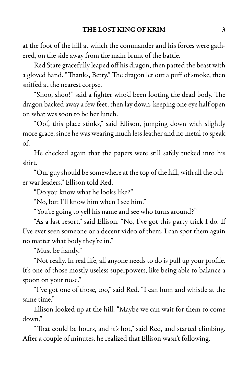at the foot of the hill at which the commander and his forces were gathered, on the side away from the main brunt of the battle.

Red Stare gracefully leaped off his dragon, then patted the beast with a gloved hand. "Thanks, Betty." The dragon let out a puff of smoke, then sniffed at the nearest corpse.

"Shoo, shoo!" said a fighter who'd been looting the dead body. The dragon backed away a few feet, then lay down, keeping one eye half open on what was soon to be her lunch.

"Oof, this place stinks," said Ellison, jumping down with slightly more grace, since he was wearing much less leather and no metal to speak of.

He checked again that the papers were still safely tucked into his shirt.

"Our guy should be somewhere at the top of the hill, with all the other war leaders," Ellison told Red.

"Do you know what he looks like?"

"No, but I'll know him when I see him."

"You're going to yell his name and see who turns around?"

"As a last resort," said Ellison. "No, I've got this party trick I do. If I've ever seen someone or a decent video of them, I can spot them again no matter what body they're in."

"Must be handy."

"Not really. In real life, all anyone needs to do is pull up your profile. It's one of those mostly useless superpowers, like being able to balance a spoon on your nose."

"I've got one of those, too," said Red. "I can hum and whistle at the same time."

Ellison looked up at the hill. "Maybe we can wait for them to come down."

"That could be hours, and it's hot," said Red, and started climbing. After a couple of minutes, he realized that Ellison wasn't following.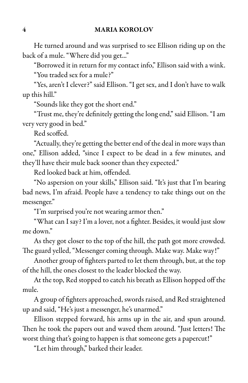He turned around and was surprised to see Ellison riding up on the back of a mule. "Where did you get..."

"Borrowed it in return for my contact info," Ellison said with a wink. "You traded sex for a mule?"

"Yes, aren't I clever?" said Ellison. "I get sex, and I don't have to walk up this hill."

"Sounds like they got the short end."

"Trust me, they're definitely getting thelong end," said Ellison. "Iam very very good in bed."

Red scoffed.

"Actually, they're getting the better end of the deal in more ways than one," Ellison added, "since I expect to be dead in a few minutes, and they'll have their mule back sooner than they expected."

Red looked back at him, offended.

"No aspersion on your skills," Ellison said. "It's just that I'm bearing bad news, I'm afraid. People have a tendency to take things out on the messenger."

"I'm surprised you're not wearing armor then."

"What can I say? I'm a lover, not a fighter. Besides, it would just slow me down."

As they got closer to the top of the hill, the path got more crowded. The guard yelled, "Messenger coming through. Make way. Make way!"

Another group of fighters parted to let them through, but, at the top of the hill, the ones closest to the leader blocked the way.

At the top, Red stopped to catch his breath as Ellison hopped off the mule.

A group of fighters approached, swords raised, and Red straightened up and said, "He's just a messenger, he's unarmed."

Ellison stepped forward, his arms up in the air, and spun around. Then he took the papers out and waved them around. "Just letters! The worst thing that's going to happen is that someone gets a papercut!"

"Let him through," barked their leader.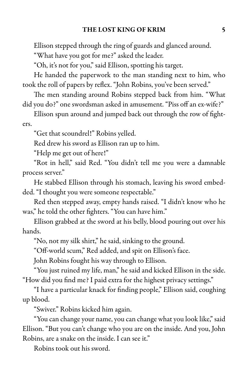Ellison stepped through the ring of guards and glanced around.

"What have you got for me?" asked the leader.

"Oh, it's not for you," said Ellison, spotting his target.

He handed the paperwork to the man standing next to him, who took the roll of papers by reflex. "John Robins, you've been served."

The men standing around Robins stepped back from him. "What did you do?" one swordsman asked in amusement. "Piss off an ex-wife?"

Ellison spun around and jumped back out through the row of fighters.

"Get that scoundrel!" Robins yelled.

Red drew his sword as Ellison ran up to him.

"Help me get out of here!"

"Rot in hell," said Red. "You didn't tell me you were a damnable process server."

He stabbed Ellison through his stomach, leaving his sword embedded. "I thought you were someone respectable."

Red then stepped away, empty hands raised. "I didn't know who he was," he told the other fighters. "You can have him."

Ellison grabbed at the sword at his belly, blood pouring out over his hands.

"No, not my silk shirt," he said, sinking to the ground.

"Off-world scum," Red added, and spit on Ellison's face.

John Robins fought his way through to Ellison.

"You just ruined my life, man," he said and kicked Ellison in the side. "How did you find me? I paid extra for the highest privacy settings."

"I have a particular knack for finding people," Ellison said, coughing up blood.

"Swiver." Robins kicked him again.

"You can change your name, you can change what you look like,"said Ellison. "But you can't change who you are on the inside. And you, John Robins, are a snake on the inside. I can see it."

Robins took out his sword.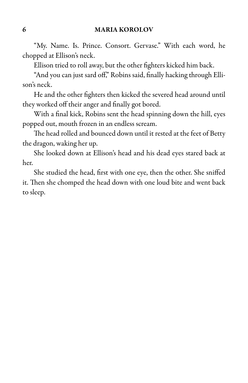"My. Name. Is. Prince. Consort. Gervase." With each word, he chopped at Ellison's neck.

Ellison tried to roll away, but the other fighters kicked him back.

"And you can just sard off," Robins said, finally hacking through Ellison's neck.

He and the other fighters then kicked the severed head around until they worked off their anger and finally got bored.

With a final kick, Robins sent the head spinning down the hill, eyes popped out, mouth frozen in an endless scream.

The head rolled and bounced down until it rested at the feet of Betty the dragon, waking her up.

She looked down at Ellison's head and his dead eyes stared back at her.

She studied the head, first with one eye, then the other. She sniffed it. Then she chomped the head down with one loud bite and went back to sleep.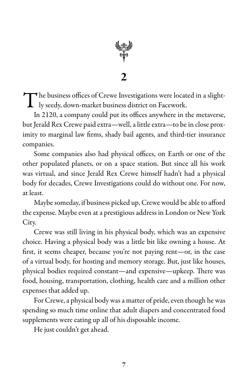

The business offices of Crewe Investigations were located in a slight-<br>Iy seedy, down-market business district on Facework. ly seedy, down-market business district on Facework.

In 2120, a company could put its offices anywhere in the metaverse, but Jerald Rex Crewe paid extra—well, a little extra—to be in close proximity to marginal law firms, shady bail agents, and third-tier insurance companies.

Some companies also had physical offices, on Earth or one of the other populated planets, or on a space station. But since all his work was virtual, and since Jerald Rex Crewe himself hadn't had a physical body for decades, Crewe Investigations could do without one. For now, at least.

Maybe someday, if business picked up, Crewe would be able to afford the expense. Maybe even at a prestigious address in London or New York City.

Crewe was still living in his physical body, which was an expensive choice. Having a physical body was a little bit like owning a house. At first, it seems cheaper, because you're not paying rent—or, in the case of a virtual body, for hosting and memory storage. But, just like houses, physical bodies required constant—and expensive—upkeep. There was food, housing, transportation, clothing, health care and a million other expenses that added up.

For Crewe, a physical body was a matter of pride, even though he was spending so much time online that adult diapers and concentrated food supplements were eating up all of his disposable income.

He just couldn't get ahead.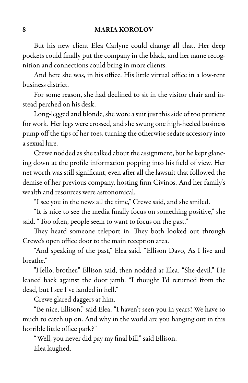But his new client Elea Carlyne could change all that. Her deep pockets could finally put the company in the black, and her name recognition and connections could bring in more clients.

And here she was, in his office. His little virtual office in a low-rent business district.

For some reason, she had declined to sit in the visitor chair and instead perched on his desk.

Long-legged and blonde, she wore a suit just this side of too prurient for work. Her legs were crossed, and she swung one high-heeled business pump off the tips of her toes, turning the otherwise sedate accessory into a sexual lure.

Crewe nodded as she talked about the assignment, but he kept glancing down at the profile information popping into his field of view. Her net worth was still significant, even afterall the lawsuit that followed the demise of her previous company, hosting firm Civinos. And her family's wealth and resources were astronomical.

"I see you in the news all the time," Crewe said, and she smiled.

"It is nice to see the media finally focus on something positive," she said. "Too often, people seem to want to focus on the past."

They heard someone teleport in. They both looked out through Crewe's open office door to the main reception area.

"And speaking of the past," Elea said. "Ellison Davo, As I live and breathe."

"Hello, brother," Ellison said, then nodded at Elea. "She-devil." He leaned back against the door jamb. "I thought I'd returned from the dead, but I see I've landed in hell."

Crewe glared daggers at him.

"Be nice, Ellison," said Elea. "I haven't seen you in years! We have so much to catch up on. And why in the world are you hanging out in this horrible little office park?"

"Well, you never did pay my final bill," said Ellison.

Elea laughed.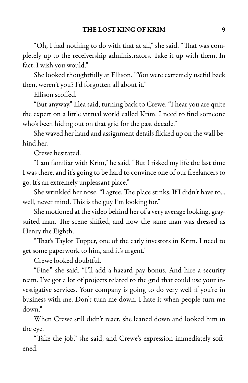"Oh, I had nothing to do with that at all," she said. "That was completely up to the receivership administrators. Take it up with them. In fact, I wish you would."

She looked thoughtfully at Ellison. "You were extremely useful back then, weren't you? I'd forgotten all about it."

Ellison scoffed.

"But anyway," Elea said, turning back to Crewe. "I hear you are quite the expert on a little virtual world called Krim. I need to find someone who's been hiding out on that grid for the past decade."

She waved her hand and assignment details flicked up on the wall behind her.

Crewe hesitated.

"I am familiar with Krim," he said. "But I risked my life the last time I was there, and it's going to be hard to convince one of our freelancers to go. It's an extremely unpleasant place."

She wrinkled her nose. "I agree. The place stinks. If I didn't have to... well, never mind. This is the guy I'm looking for."

She motioned at the video behind her of a very average looking, graysuited man. The scene shifted, and now the same man was dressed as Henry the Eighth.

"That's Taylor Tupper, one of the early investors in Krim. I need to get some paperwork to him, and it's urgent."

Crewe looked doubtful.

"Fine," she said. "I'll add a hazard pay bonus. And hire a security team. I've got a lot of projects related to the grid that could use your investigative services. Your company is going to do very well if you're in business with me. Don't turn me down. I hate it when people turn me down."

When Crewe still didn't react, she leaned down and looked him in the eye.

"Take the job," she said, and Crewe's expression immediately softened.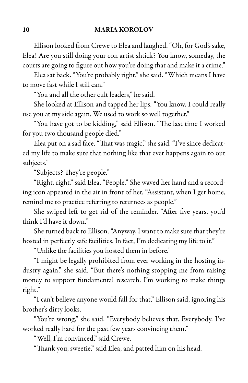Ellison looked from Crewe to Elea and laughed. "Oh, for God's sake, Elea! Are you still doing your con artist shtick? You know, someday, the courts are going to figure out how you're doing that and make it a crime."

Eleasat back. "You're probably right," shesaid. "Which means I have to move fast while I still can."

"You and all the other cult leaders," he said.

She looked at Ellison and tapped her lips. "You know, I could really use you at my side again. We used to work so well together."

"You have got to be kidding," said Ellison. "The last time I worked for you two thousand people died."

Elea put on a sad face. "That was tragic," she said. "I've since dedicated my life to make sure that nothing like that ever happens again to our subjects."

"Subjects? They're people."

"Right, right," said Elea. "People." She waved her hand and a recording icon appeared in the air in front of her. "Assistant, when I get home, remind me to practice referring to returnees as people."

She swiped left to get rid of the reminder. "After five years, you'd think I'd have it down."

She turned back to Ellison. "Anyway, I want to make sure that they're hosted in perfectly safe facilities. In fact, I'm dedicating my life to it."

"Unlike the facilities you hosted them in before."

"I might be legally prohibited from ever working in the hosting industry again," she said. "But there's nothing stopping me from raising money to support fundamental research. I'm working to make things right."

"I can't believe anyone would fall for that," Ellison said, ignoring his brother's dirty looks.

"You're wrong," she said. "Everybody believes that. Everybody. I've worked really hard for the past few years convincing them."

"Well, I'm convinced," said Crewe.

"Thank you, sweetie," said Elea, and patted him on his head.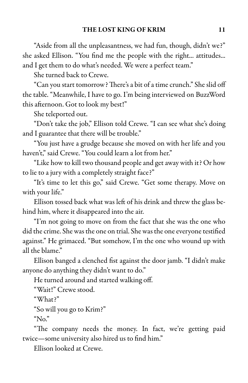"Aside from all the unpleasantness, we had fun, though, didn't we?" she asked Ellison. "You find me the people with the right... attitudes... and I get them to do what's needed. We were a perfect team."

She turned back to Crewe.

"Can you start tomorrow? There'sa bit ofatimecrunch." Sheslid off the table. "Meanwhile, I have to go. I'm being interviewed on BuzzWord this afternoon. Got to look my best!"

She teleported out.

"Don't take the job," Ellison told Crewe. "I can see what she's doing and I guarantee that there will be trouble."

"You just have a grudge because she moved on with her life and you haven't," said Crewe. "You could learn a lot from her."

"Like how to kill two thousand peopleand getaway with it? Or how to lie to a jury with a completely straight face?"

"It's time to let this go," said Crewe. "Get some therapy. Move on with your life."

Ellison tossed back what was left of his drink and threw the glass behind him, where it disappeared into the air.

"I'm not going to move on from the fact that she was the one who did the crime. She was the one on trial. She was the one everyone testified against." He grimaced. "But somehow, I'm the one who wound up with all the blame."

Ellison banged a clenched fist against the door jamb. "I didn't make anyone do anything they didn't want to do."

He turned around and started walking off.

"Wait!" Crewe stood.

"What?"

"So will you go to Krim?"

"No."

"The company needs the money. In fact, we're getting paid twice—some university also hired us to find him."

Ellison looked at Crewe.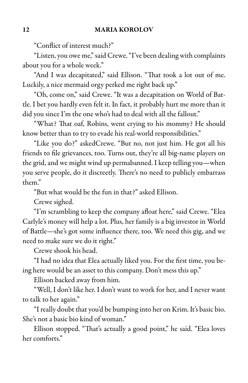#### 12 MARIA KOROLOV

"Conflict of interest much?"

"Listen, you owe me," said Crewe. "I've been dealing with complaints about you for a whole week."

"And I was decapitated," said Ellison. "That took a lot out of me. Luckily, a nice mermaid orgy perked me right back up."

"Oh, come on," said Crewe. "It was a decapitation on World of Battle. I bet you hardly even felt it. In fact, it probably hurt me more than it did you since I'm the one who's had to deal with all the fallout."

"What? That oaf, Robins, went crying to his mommy? He should know better than to try to evade his real-world responsibilities."

"Like you do?" askedCrewe. "But no, not just him. He got all his friends to file grievances, too. Turns out, they're all big-name players on the grid, and we might wind up permabanned. I keep telling you—when you serve people, do it discreetly. There's no need to publicly embarrass them."

"But what would be the fun in that?" asked Ellison.

Crewe sighed.

"I'm scrambling to keep the company afloat here," said Crewe. "Elea Carlyle's money will help a lot. Plus, her family is a big investor in World of Battle—she's got some influence there, too. We need this gig, and we need to make sure we do it right."

Crewe shook his head.

"I had no idea that Elea actually liked you. For the first time, you being here would be an asset to this company. Don't mess this up."

Ellison backed away from him.

"Well, I don't like her. I don't want to work for her, and I never want to talk to her again."

"I really doubt that you'd be bumping into her on Krim. It's basic bio. She's not a basic bio kind of woman."

Ellison stopped. "That's actually a good point," he said. "Elea loves her comforts."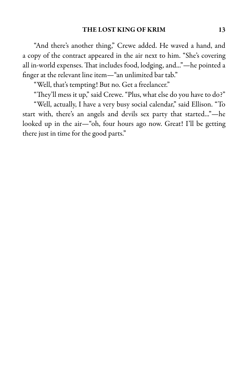"And there's another thing," Crewe added. He waved a hand, and a copy of the contract appeared in the air next to him. "She's covering all in-world expenses. That includes food, lodging, and..."—he pointed a finger at the relevant line item—"an unlimited bar tab."

"Well, that's tempting! But no. Get a freelancer."

"They'll mess it up," said Crewe. "Plus, what else do you have to do?"

"Well, actually, I have a very busy social calendar," said Ellison. "To start with, there's an angels and devils sex party that started..."—he looked up in the air—"oh, four hours ago now. Great! I'll be getting there just in time for the good parts."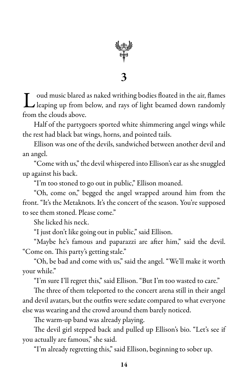

L oud music blared as naked writhing bodies floated in the air, flames<br>Leaping up from below, and rays of light beamed down randomly leaping up from below, and rays of light beamed down randomly from the clouds above.

Half of the partygoers sported white shimmering angel wings while the rest had black bat wings, horns, and pointed tails.

Ellison was one of the devils, sandwiched between another devil and an angel.

"Come with us," the devil whispered into Ellison's ear as she snuggled up against his back.

"I'm too stoned to go out in public," Ellison moaned.

"Oh, come on," begged the angel wrapped around him from the front. "It's the Metaknots. It's the concert of the season. You're supposed to see them stoned. Please come."

She licked his neck.

"I just don't like going out in public," said Ellison.

"Maybe he's famous and paparazzi are after him," said the devil. "Come on. This party's getting stale."

"Oh, be bad and come with us," said the angel. "We'll make it worth your while."

"I'm sure I'll regret this," said Ellison. "But I'm too wasted to care."

The three of them teleported to the concert arena still in their angel and devil avatars, but the outfits were sedate compared to what everyone else was wearing and the crowd around them barely noticed.

The warm-up band was already playing.

The devil girl stepped back and pulled up Ellison's bio. "Let's see if you actually are famous," she said.

"I'm already regretting this," said Ellison, beginning to sober up.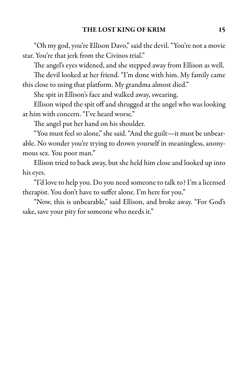"Oh my god, you're Ellison Davo,"said the devil."You're nota movie star. You're that jerk from the Civinos trial."

The angel's eyes widened, and she stepped away from Ellison as well.

The devil looked at her friend. "I'm done with him. My family came this close to using that platform. My grandma almost died."

She spit in Ellison's face and walked away, swearing.

Ellison wiped the spit off and shrugged at the angel who was looking at him with concern. "I've heard worse."

The angel put her hand on his shoulder.

"You must feel so alone,"shesaid."And the guilt—it must be unbearable. No wonder you're trying to drown yourself in meaningless, anonymous sex. You poor man."

Ellison tried to back away, but she held him close and looked up into his eyes.

"I'd love to help you. Do you need someone to talk to? I'm a licensed therapist. You don't have to suffer alone. I'm here for you."

"Now, this is unbearable," said Ellison, and broke away. "For God's sake, save your pity for someone who needs it."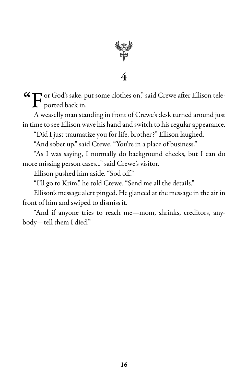

 $\mathbf{G}$  or God's sake, put some clothes on," said Crewe after Ellison tele-<br>ported back in.

A weaselly man standing in front of Crewe's desk turned around just in time to see Ellison wave his hand and switch to his regular appearance.

"Did I just traumatize you for life, brother?" Ellison laughed.

"And sober up," said Crewe. "You're in a place of business."

"As I was saying, I normally do background checks, but I can do more missing person cases..." said Crewe's visitor.

Ellison pushed him aside. "Sod off."

"I'll go to Krim," he told Crewe. "Send me all the details."

Ellison's message alert pinged. He glanced at the message in the air in front of him and swiped to dismiss it.

"And if anyone tries to reach me—mom, shrinks, creditors, anybody—tell them I died."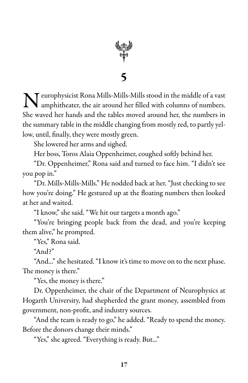

 $\sum \text{wimplistic Rona Mills-Mills-Mills stood in the middle of a vast amphitheater, the air around her filled with columns of numbers.}$ amphitheater, the air around her filled with columns of numbers. She waved her hands and the tables moved around her, the numbers in the summary table in the middle changing from mostly red, to partly yellow, until, finally, they were mostly green.

She lowered her arms and sighed.

Her boss, Toros Alaia Oppenheimer, coughed softly behind her.

"Dr. Oppenheimer," Rona said and turned to face him. "I didn't see you pop in."

"Dr. Mills-Mills-Mills." He nodded back at her. "Justchecking to see how you're doing." He gestured up at the floating numbers then looked at her and waited.

"I know," she said. "We hit our targets a month ago."

"You're bringing people back from the dead, and you're keeping them alive," he prompted.

"Yes," Rona said.

"And?"

"And..." she hesitated. "I know it's time to move on to the next phase. The money is there."

"Yes, the money is there."

Dr. Oppenheimer, the chair of the Department of Neurophysics at Hogarth University, had shepherded the grant money, assembled from government, non-profit, and industry sources.

"And the team is ready to go," he added. "Ready to spend the money. Before the donors change their minds."

"Yes," she agreed. "Everything is ready. But..."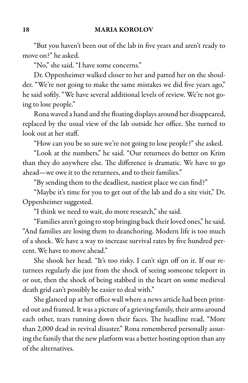"But you haven't been out of the lab in five years and aren't ready to move on?" he asked.

"No," she said. "I have some concerns."

Dr. Oppenheimer walked closer to her and patted her on the shoulder. "We're not going to make the same mistakes we did five years ago," he said softly. "We have several additional levels of review. We're not going to lose people."

Rona waved a hand and the floating displaysaround her disappeared, replaced by the usual view of the lab outside her office. She turned to look out at her staff.

"How can you be so sure we're not going to lose people?" she asked.

"Look at the numbers," he said. "Our returnees do better on Krim than they do anywhere else. The difference is dramatic. We have to go ahead—we owe it to the returnees, and to their families."

"By sending them to the deadliest, nastiest place we can find?"

"Maybe it's time for you to get out of the lab and do a site visit," Dr. Oppenheimer suggested.

"I think we need to wait, do more research," she said.

"Families aren't going to stop bringing back their loved ones," he said. "And families are losing them to deanchoring. Modern life is too much of a shock. We have a way to increase survival rates by five hundred percent. We have to move ahead."

She shook her head. "It's too risky. I can't sign off on it. If our returnees regularly die just from the shock of seeing someone teleport in or out, then the shock of being stabbed in the heart on some medieval death grid can't possibly be easier to deal with."

She glanced up at her office wall where a news article had been printed out and framed. It was a picture of a grieving family, their arms around each other, tears running down their faces. The headline read, "More than 2,000 dead in revival disaster." Rona remembered personally assuring the family that the new platform was a better hosting option than any of the alternatives.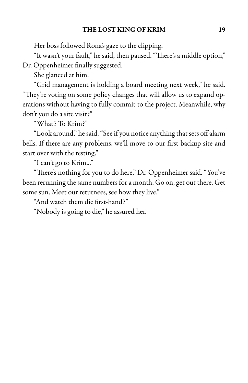Her boss followed Rona's gaze to the clipping.

"It wasn't your fault," he said, then paused. "There's a middle option,"

Dr. Oppenheimer finally suggested.

She glanced at him.

"Grid management is holding a board meeting next week," he said. "They're voting on some policy changes that will allow us to expand operations without having to fully commit to the project. Meanwhile, why don't you do a site visit?"

"What? To Krim?"

"Look around," hesaid."Seeif you noticeanything that sets off alarm bells. If there are any problems, we'll move to our first backup site and start over with the testing."

"I can't go to Krim..."

"There's nothing for you to do here," Dr. Oppenheimer said. "You've been rerunning the same numbers for a month. Go on, get out there. Get some sun. Meet our returnees, see how they live."

"And watch them die first-hand?"

"Nobody is going to die," he assured her.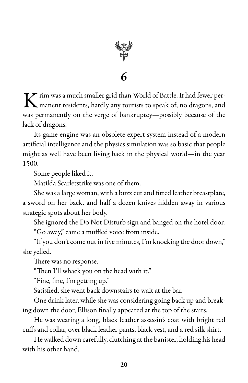

 $K$  rim was a much smaller grid than World of Battle. It had fewer per-<br>manent residents, hardly any tourists to speak of, no dragons, and manent residents, hardly any tourists to speak of, no dragons, and was permanently on the verge of bankruptcy—possibly because of the lack of dragons.

Its game engine was an obsolete expert system instead of a modern artificial intelligence and the physics simulation was so basic that people might as well have been living back in the physical world—in the year 1500.

Some people liked it.

Matilda Scarletstrike was one of them.

She was a large woman, with a buzz cut and fitted leather breastplate, a sword on her back, and half a dozen knives hidden away in various strategic spots about her body.

She ignored the Do Not Disturb sign and banged on the hotel door. "Go away," came a muffled voice from inside.

"If you don't come out in five minutes, I'm knocking the door down," she yelled.

There was no response.

"Then I'll whack you on the head with it."

"Fine, fine, I'm getting up."

Satisfied, she went back downstairs to wait at the bar.

One drink later, while she was considering going back up and breaking down the door, Ellison finally appeared at the top of the stairs.

He was wearing a long, black leather assassin's coat with bright red cuffs and collar, over black leather pants, black vest, and a red silk shirt.

He walked down carefully, clutching at the banister, holding his head with his other hand.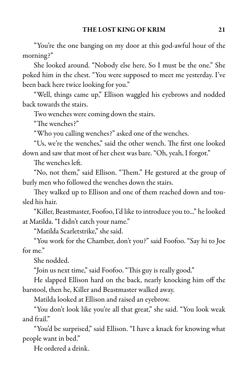"You're the one banging on my door at this god-awful hour of the morning?"

She looked around. "Nobody else here. So I must be the one." She poked him in the chest. "You were supposed to meet me yesterday. I've been back here twice looking for you."

"Well, things came up," Ellison waggled his eyebrows and nodded back towards the stairs.

Two wenches were coming down the stairs.

"The wenches?"

"Who you calling wenches?" asked one of the wenches.

"Us, we're the wenches," said the other wench. The first one looked down and saw that most of her chest was bare. "Oh, yeah, I forgot."

The wenches left.

"No, not them," said Ellison. "Them." He gestured at the group of burly men who followed the wenches down the stairs.

They walked up to Ellison and one of them reached down and tousled his hair.

"Killer, Beastmaster, Foofoo, I'd like to introduce you to..." he looked at Matilda. "I didn't catch your name."

"Matilda Scarletstrike," she said.

"You work for the Chamber, don't you?" said Foofoo. "Say hi to Joe for me"

She nodded.

"Join us next time," said Foofoo. "This guy is really good."

He slapped Ellison hard on the back, nearly knocking him off the barstool, then he, Killer and Beastmaster walked away.

Matilda looked at Ellison and raised an eyebrow.

"You don't look like you're all that great," she said. "You look weak and frail."

"You'd be surprised," said Ellison. "I have a knack for knowing what people want in bed."

He ordered a drink.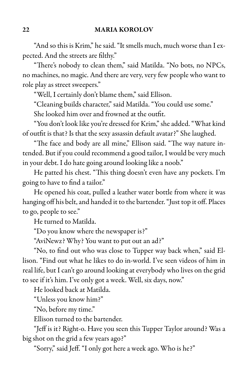"And so this is Krim," he said. "It smells much, much worse than I expected. And the streets are filthy."

"There's nobody to clean them," said Matilda. "No bots, no NPCs, no machines, no magic. And there are very, very few people who want to role play as street sweepers."

"Well, I certainly don't blame them," said Ellison.

"Cleaning builds character," said Matilda. "You could use some."

She looked him over and frowned at the outfit.

"You don't look like you're dressed for Krim,"sheadded."What kind of outfit is that? Is that the sexy assassin default avatar?" She laughed.

"The face and body are all mine," Ellison said. "The way nature intended. But if you could recommend a good tailor, I would be very much in your debt. I do hate going around looking like a noob."

He patted his chest. "This thing doesn't even have any pockets. I'm going to have to find a tailor."

He opened his coat, pulled a leather water bottle from where it was hanging off his belt, and handed it to the bartender. "Just top it off. Places to go, people to see."

He turned to Matilda.

"Do you know where the newspaper is?"

"AviNewz? Why? You want to put out an ad?"

"No, to find out who was close to Tupper way back when," said Ellison. "Find out what he likes to do in-world. I've seen videos of him in real life, but I can't go around looking at everybody who lives on the grid to see if it's him. I've only got a week. Well, six days, now."

He looked back at Matilda.

"Unless you know him?"

"No, before my time."

Ellison turned to the bartender.

"Jeff is it? Right-o. Have you seen this Tupper Taylor around? Was a big shot on the grid a few years ago?"

"Sorry," said Jeff. "I only got here a week ago. Who is he?"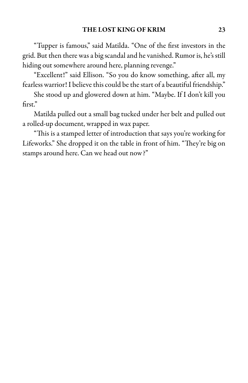"Tupper is famous," said Matilda. "One of the first investors in the grid. But then there was a big scandal and he vanished. Rumor is, he's still hiding out somewhere around here, planning revenge."

"Excellent!" said Ellison. "So you do know something, after all, my fearless warrior! I believe this could be the start of a beautiful friendship."

She stood up and glowered down at him. "Maybe. If I don't kill you first."

Matilda pulled out a small bag tucked under her belt and pulled out a rolled-up document, wrapped in wax paper.

"This is a stamped letter of introduction that says you're working for Lifeworks." She dropped it on the table in front of him. "They're big on stamps around here. Can we head out now?"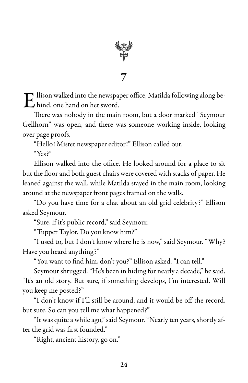

 $\mathbf E$  llison walked into the newspaper office, Matilda following along be-<br>hind, one hand on her sword. hind, one hand on her sword.

There was nobody in the main room, but a door marked "Seymour Gellhorn" was open, and there was someone working inside, looking over page proofs.

"Hello! Mister newspaper editor!" Ellison called out.

"Yes?"

Ellison walked into the office. He looked around for a place to sit but the floor and both guest chairs were covered with stacks of paper. He leaned against the wall, while Matilda stayed in the main room, looking around at the newspaper front pages framed on the walls.

"Do you have time for a chat about an old grid celebrity?" Ellison asked Seymour.

"Sure, if it's public record," said Seymour.

"Tupper Taylor. Do you know him?"

"I used to, but I don't know where he is now," said Seymour. "Why? Have you heard anything?"

"You want to find him, don't you?" Ellison asked. "I can tell."

Seymour shrugged. "He's been in hiding for nearly a decade," he said. "It's an old story. But sure, if something develops, I'm interested. Will you keep me posted?"

"I don't know if I'll still be around, and it would be off the record, but sure. So can you tell me what happened?"

"It was quite a while ago," said Seymour. "Nearly ten years, shortly after the grid was first founded."

"Right, ancient history, go on."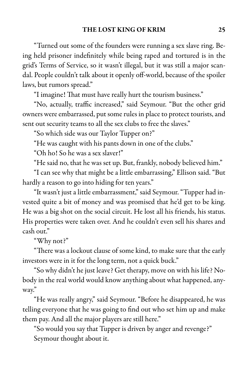"Turned out some of the founders were running a sex slave ring. Being held prisoner indefinitely while being raped and tortured is in the grid's Terms of Service, so it wasn't illegal, but it was still a major scandal. People couldn't talk about it openly off-world, because of the spoiler laws, but rumors spread."

"I imagine! That must have really hurt the tourism business."

"No, actually, traffic increased," said Seymour. "But the other grid owners were embarrassed, put some rules in place to protect tourists, and sent out security teams to all the sex clubs to free the slaves."

"So which side was our Taylor Tupper on?"

"He was caught with his pants down in one of the clubs."

"Oh ho! So he was a sex slaver!"

"He said no, that he was set up. But, frankly, nobody believed him."

"I can see why that might be a little embarrassing," Ellison said. "But hardly a reason to go into hiding for ten years."

"It wasn't just a little embarrassment," said Seymour. "Tupper had invested quite a bit of money and was promised that he'd get to be king. He was a big shot on the social circuit. He lost all his friends, his status. His properties were taken over. And he couldn't even sell his shares and cash out."

"Why not?"

"There was a lockout clause of some kind, to make sure that the early investors were in it for the long term, not a quick buck."

"So why didn't he just leave? Get therapy, move on with his life? Nobody in the real world would know anything about what happened, anyway."

"He was really angry," said Seymour. "Before he disappeared, he was telling everyone that he was going to find out who set him up and make them pay. And all the major players are still here."

"So would you say that Tupper is driven by anger and revenge?" Seymour thought about it.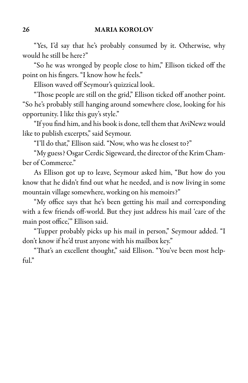"Yes, I'd say that he's probably consumed by it. Otherwise, why would he still be here?"

"So he was wronged by people close to him," Ellison ticked off the point on his fingers. "I know how he feels."

Ellison waved off Seymour's quizzical look.

"Those people are still on the grid," Ellison ticked off another point. "So he's probably still hanging around somewhere close, looking for his opportunity. I like this guy's style."

"If you find him, and his book is done, tell them that AviNewz would like to publish excerpts," said Seymour.

"I'll do that," Ellison said. "Now, who was he closest to?"

"My guess? Osgar Cerdic Sigeweard, the director of the Krim Chamber of Commerce."

As Ellison got up to leave, Seymour asked him, "But how do you know that he didn't find out what he needed, and is now living in some mountain village somewhere, working on his memoirs?"

"My office says that he's been getting his mail and corresponding with a few friends off-world. But they just address his mail 'care of the main post office,'" Ellison said.

"Tupper probably picks up his mail in person," Seymour added. "I don't know if he'd trust anyone with his mailbox key."

"That's an excellent thought," said Ellison. "You've been most help $f_{11}$ "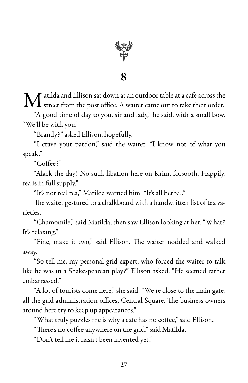

 $\bf{M}$  atilda and Ellison sat down at an outdoor table at a cafe across the street from the post office. A waiter came out to take their order. street from the post office. A waiter came out to take their order.

"A good time of day to you, sir and lady," he said, with a small bow. "We'll be with you."

"Brandy?" asked Ellison, hopefully.

"I crave your pardon," said the waiter. "I know not of what you speak."

"Coffee?"

"Alack the day! No such libation here on Krim, forsooth. Happily, tea is in full supply."

"It's not real tea," Matilda warned him. "It's all herbal."

The waiter gestured to achalkboard with a handwritten list of tea varieties.

"Chamomile," said Matilda, then saw Ellison looking at her. "What? It's relaxing."

"Fine, make it two," said Ellison. The waiter nodded and walked away.

"So tell me, my personal grid expert, who forced the waiter to talk like he was in a Shakespearean play?" Ellison asked. "He seemed rather embarrassed."

"A lot of tourists come here," she said. "We're close to the main gate, all the grid administration offices, Central Square. The business owners around here try to keep up appearances."

"What truly puzzles me is why a cafe has no coffee," said Ellison.

"There's no coffee anywhere on the grid," said Matilda.

"Don't tell me it hasn't been invented yet!"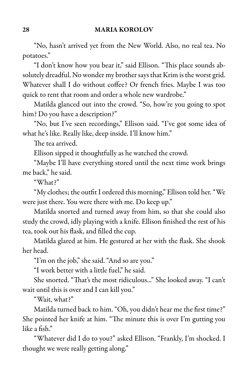#### 28 MARIA KOROLOV

"No, hasn't arrived yet from the New World. Also, no real tea. No potatoes."

"I don't know how you bear it," said Ellison. "This place sounds absolutely dreadful. No wonder my brother says that Krim is the worst grid. Whatever shall I do without coffee? Or french fries. Maybe I was too quick to rent that room and order a whole new wardrobe."

Matilda glanced out into the crowd. "So, how're you going to spot him? Do you have a description?"

"No, but I've seen recordings," Ellison said. "I've got some idea of what he's like. Really like, deep inside. I'll know him."

The tea arrived.

Ellison sipped it thoughtfully as he watched the crowd.

"Maybe I'll have everything stored until the next time work brings me back," he said.

"What?"

"My clothes; the outfit I ordered this morning," Ellison told her."We were just there. You were there with me. Do keep up."

Matilda snorted and turned away from him, so that she could also study the crowd, idly playing with a knife. Ellison finished the rest of his tea, took out his flask, and filled the cup.

Matilda glared at him. He gestured at her with the flask. She shook her head.

"I'm on the job," she said. "And so are you."

"I work better with a little fuel," he said.

She snorted. "That's the most ridiculous..." She looked away. "I can't wait until this is over and I can kill you."

"Wait, what?"

Matilda turned back to him. "Oh, you didn't hear me the first time?" She pointed her knife at him. "The minute this is over I'm gutting you like a fish."

"Whatever did I do to you?" asked Ellison. "Frankly, I'm shocked. I thought we were really getting along."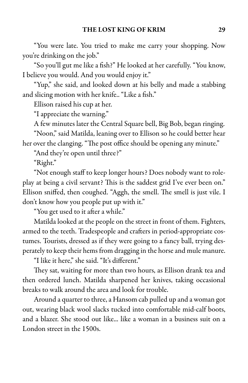"You were late. You tried to make me carry your shopping. Now you're drinking on the job."

"So you'll gut me like a fish?" He looked at her carefully. "You know, I believe you would. And you would enjoy it."

"Yup," she said, and looked down at his belly and made a stabbing and slicing motion with her knife.. "Like a fish."

Ellison raised his cup at her.

"I appreciate the warning."

A few minutes later the Central Square bell, Big Bob, began ringing.

"Noon," said Matilda, leaning over to Ellison so he could better hear

her over the clanging. "The post office should be opening any minute."

"And they're open until three?"

"Right."

"Not enough staff to keep longer hours? Does nobody want to roleplay at being a civil servant? This is the saddest grid I've ever been on." Ellison sniffed, then coughed. "Aggh, the smell. The smell is just vile. I don't know how you people put up with it."

"You get used to it after a while."

Matilda looked at the people on the street in front of them. Fighters, armed to the teeth. Tradespeople and crafters in period-appropriate costumes. Tourists, dressed as if they were going to a fancy ball, trying desperately to keep their hems from dragging in the horse and mule manure.

"I like it here," she said. "It's different."

They sat, waiting for more than two hours, as Ellison drank tea and then ordered lunch. Matilda sharpened her knives, taking occasional breaks to walk around the area and look for trouble.

Around a quarter to three, a Hansom cab pulled up and a woman got out, wearing black wool slacks tucked into comfortable mid-calf boots, and a blazer. She stood out like... like a woman in a business suit on a London street in the 1500s.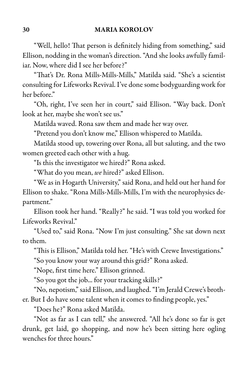"Well, hello! That person is definitely hiding from something," said Ellison, nodding in the woman's direction. "And she looks awfully familiar. Now, where did I see her before?"

"That's Dr. Rona Mills-Mills-Mills," Matilda said. "She's a scientist consulting for Lifeworks Revival. I've donesome bodyguarding work for her before."

"Oh, right, I've seen her in court," said Ellison. "Way back. Don't look at her, maybe she won't see us."

Matilda waved. Rona saw them and made her way over.

"Pretend you don't know me," Ellison whispered to Matilda.

Matilda stood up, towering over Rona, all but saluting, and the two women greeted each other with a hug.

"Is this the investigator we hired?" Rona asked.

"What do you mean, *we* hired?" asked Ellison.

"We as in Hogarth University," said Rona, and held out her hand for Ellison to shake. "Rona Mills-Mills-Mills, I'm with the neurophysics department."

Ellison took her hand. "Really?" he said. "I was told you worked for Lifeworks Revival."

"Used to," said Rona. "Now I'm just consulting." She sat down next to them.

"This is Ellison," Matilda told her. "He's with Crewe Investigations."

"So you know your way around this grid?" Rona asked.

"Nope, first time here." Ellison grinned.

"So you got the job... for your tracking skills?"

"No, nepotism,"said Ellison,and laughed."I'm Jerald Crewe's brother. But I do have some talent when it comes to finding people, yes."

"Does he?" Rona asked Matilda.

"Not as far as I can tell," she answered. "All he's done so far is get drunk, get laid, go shopping, and now he's been sitting here ogling wenches for three hours."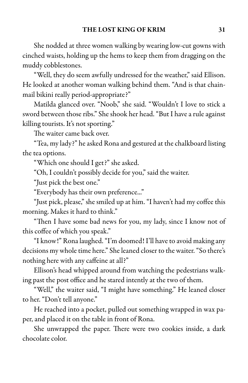She nodded at three women walking by wearing low-cut gowns with cinched waists, holding up the hems to keep them from dragging on the muddy cobblestones.

"Well, they do seem awfully undressed for the weather," said Ellison. He looked at another woman walking behind them. "And is that chainmail bikini really period-appropriate?"

Matilda glanced over. "Noob," she said. "Wouldn't I love to stick a sword between those ribs." She shook her head. "But I have a rule against killing tourists. It's not sporting."

The waiter came back over.

"Tea, my lady?" he asked Rona and gestured at the chalkboard listing the tea options.

"Which one should I get?" she asked.

"Oh, I couldn't possibly decide for you," said the waiter.

"Just pick the best one."

"Everybody has their own preference..."

"Just pick, please," she smiled up at him. "I haven't had my coffee this morning. Makes it hard to think."

"Then I have some bad news for you, my lady, since I know not of this coffee of which you speak."

"I know!" Rona laughed. "I'm doomed! I'll have to avoid making any decisions my whole time here." She leaned closer to the waiter. "So there's nothing here with any caffeine at all?"

Ellison's head whipped around from watching the pedestrians walking past the post office and he stared intently at the two of them.

"Well," the waiter said, "I might have something." He leaned closer to her. "Don't tell anyone."

He reached into a pocket, pulled out something wrapped in wax paper, and placed it on the table in front of Rona.

She unwrapped the paper. There were two cookies inside, a dark chocolate color.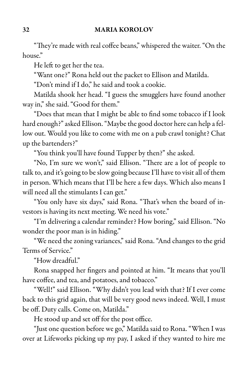#### 32 MARIA KOROLOV

"They're made with real coffee beans," whispered the waiter. "On the house"

He left to get her the tea.

"Want one?" Rona held out the packet to Ellison and Matilda.

"Don't mind if I do," he said and took a cookie.

Matilda shook her head. "I guess the smugglers have found another way in," she said. "Good for them."

"Does that mean that I might be able to find some tobacco if I look hard enough?" asked Ellison. "Maybe the good doctor here can help a fellow out. Would you like to come with me on a pub crawl tonight? Chat up the bartenders?"

"You think you'll have found Tupper by then?" she asked.

"No, I'm sure we won't," said Ellison. "There are a lot of people to talk to, and it's going to be slow going because I'll have to visit all of them in person. Which means that I'll be here a few days. Which also means I will need all the stimulants I can get."

"You only have six days," said Rona. "That's when the board of investors is having its next meeting. We need his vote."

"I'm delivering a calendar reminder? How boring," said Ellison. "No wonder the poor man is in hiding."

"We need the zoning variances," said Rona. "And changes to the grid Terms of Service."

"How dreadful."

Rona snapped her fingers and pointed at him. "It means that you'll have coffee, and tea, and potatoes, and tobacco."

"Well!" said Ellison. "Why didn't you lead with that? If I ever come back to this grid again, that will be very good news indeed. Well, I must be off. Duty calls. Come on, Matilda."

He stood up and set off for the post office.

"Just one question before we go," Matilda said to Rona. "When I was over at Lifeworks picking up my pay, I asked if they wanted to hire me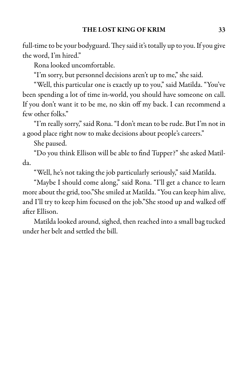full-time to be your bodyguard. They said it's totally up to you. If you give the word, I'm hired."

Rona looked uncomfortable.

"I'm sorry, but personnel decisions aren't up to me," she said.

"Well, this particular one is exactly up to you," said Matilda. "You've been spending a lot of time in-world, you should have someone on call. If you don't want it to be me, no skin off my back. I can recommend a few other folks."

"I'm really sorry," said Rona. "I don't mean to berude. But I'm not in a good place right now to make decisions about people's careers."

She paused.

"Do you think Ellison will be able to find Tupper?" she asked Matilda.

"Well, he's not taking the job particularly seriously," said Matilda.

"Maybe I should come along," said Rona. "I'll get a chance to learn more about the grid, too."She smiled at Matilda. "You can keep him alive, and I'll try to keep him focused on the job."She stood up and walked off after Ellison.

Matilda looked around, sighed, then reached into a small bag tucked under her belt and settled the bill.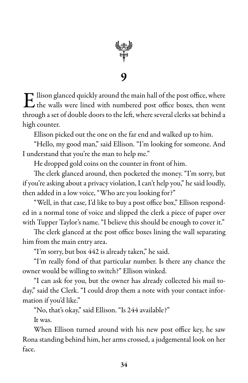

 $\mathbf E$  llison glanced quickly around the main hall of the post office, where the walls were lined with numbered post office boxes, then went  $\Gamma$  llison glanced quickly around the main hall of the post office, where through a set of double doors to the left, where several clerks sat behind a high counter.

Ellison picked out the one on the far end and walked up to him.

"Hello, my good man," said Ellison. "I'm looking for someone. And I understand that you're the man to help me."

He dropped gold coins on the counter in front of him.

The clerk glanced around, then pocketed the money. "I'm sorry, but if you're asking about a privacy violation, I can't help you," he said loudly, then added in a low voice, "Who are you looking for?"

"Well, in that case, I'd like to buy a post office box," Ellison responded in a normal tone of voice and slipped the clerk a piece of paper over with Tupper Taylor's name. "I believe this should be enough to cover it."

The clerk glanced at the post office boxes lining the wall separating him from the main entry area.

"I'm sorry, but box 442 is already taken," he said.

"I'm really fond of that particular number. Is there any chance the owner would be willing to switch?" Ellison winked.

"I can ask for you, but the owner has already collected his mail today," said the Clerk. "I could drop them a note with your contact information if you'd like."

"No, that's okay," said Ellison. "Is 244 available?"

It was.

When Ellison turned around with his new post office key, he saw Rona standing behind him, her arms crossed, a judgemental look on her face.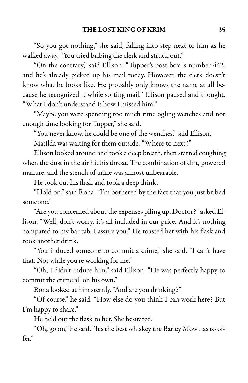#### THE LOST KING OF KRIM 35

"So you got nothing," she said, falling into step next to him as he walked away. "You tried bribing the clerk and struck out."

"On the contrary," said Ellison. "Tupper's post box is number 442, and he's already picked up his mail today. However, the clerk doesn't know what he looks like. He probably only knows the name at all because he recognized it while sorting mail." Ellison paused and thought. "What I don't understand is how I missed him."

"Maybe you were spending too much time ogling wenches and not enough time looking for Tupper," she said.

"You never know, he could be one of the wenches," said Ellison.

Matilda was waiting for them outside. "Where to next?"

Ellison looked around and took a deep breath, then started coughing when the dust in the air hit his throat. The combination of dirt, powered manure, and the stench of urine was almost unbearable.

He took out his flask and took a deep drink.

"Hold on," said Rona. "I'm bothered by the fact that you just bribed someone."

"Are you concerned about the expenses piling up, Doctor?" asked Ellison. "Well, don't worry, it's all included in our price. And it's nothing compared to my bar tab, I assure you." He toasted her with his flask and took another drink.

"You induced someone to commit a crime," she said. "I can't have that. Not while you're working for me."

"Oh, I didn't induce him," said Ellison. "He was perfectly happy to commit the crime all on his own."

Rona looked at him sternly. "And are you drinking?"

"Of course," he said. "How else do you think I can work here? But I'm happy to share."

He held out the flask to her. She hesitated.

"Oh, go on," he said. "It's the best whiskey the Barley Mow has to offer."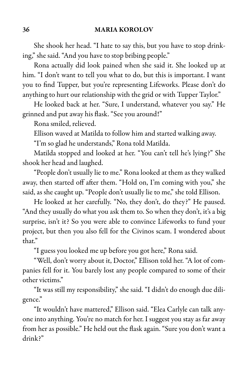She shook her head. "I hate to say this, but you have to stop drinking," she said. "And you have to stop bribing people."

Rona actually did look pained when she said it. She looked up at him. "I don't want to tell you what to do, but this is important. I want you to find Tupper, but you're representing Lifeworks. Please don't do anything to hurt our relationship with the grid or with Tupper Taylor."

He looked back at her. "Sure, I understand, whatever you say." He grinned and put away his flask. "See you around!"

Rona smiled, relieved.

Ellison waved at Matilda to follow him and started walking away.

"I'm so glad he understands," Rona told Matilda.

Matilda stopped and looked at her. "You can't tell he's lying?" She shook her head and laughed.

"People don't usually lie to me." Rona looked at them as they walked away, then started off after them. "Hold on, I'm coming with you," she said, as she caught up. "People don't usually lie to me," she told Ellison.

He looked at her carefully. "No, they don't, do they?" He paused. "And they usually do what you ask them to. So when they don't, it's a big surprise, isn't it? So you were able to convince Lifeworks to fund your project, but then you also fell for the Civinos scam. I wondered about that."

"I guess you looked me up before you got here," Rona said.

"Well, don't worry about it, Doctor," Ellison told her. "A lot of companies fell for it. You barely lost any people compared to some of their other victims."

"It was still my responsibility," she said. "I didn't do enough due diligence."

"It wouldn't have mattered," Ellison said. "Elea Carlyle can talk anyone into anything. You're no match for her. I suggest you stay as far away from her as possible." He held out the flask again. "Sure you don't want a drink?"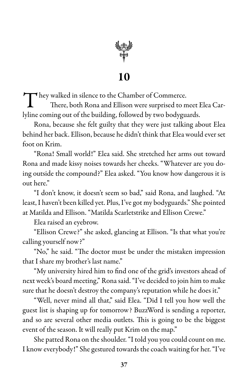

They walked in silence to the Chamber of Commerce.<br>There, both Rona and Ellison were surprised to n There, both Rona and Ellison were surprised to meet Elea Carlyline coming out of the building, followed by two bodyguards.

Rona, because she felt guilty that they were just talking about Elea behind her back. Ellison, because he didn't think that Elea would ever set foot on Krim.

"Rona! Small world!" Elea said. She stretched her arms out toward Rona and made kissy noises towards her cheeks. "Whatever are you doing outside the compound?" Elea asked. "You know how dangerous it is out here."

"I don't know, it doesn't seem so bad," said Rona, and laughed. "At least, I haven't been killed yet. Plus, I've got my bodyguards." She pointed at Matilda and Ellison. "Matilda Scarletstrike and Ellison Crewe."

Elea raised an eyebrow.

"Ellison Crewe?" she asked, glancing at Ellison. "Is that what you're calling yourself now?"

"No," he said. "The doctor must be under the mistaken impression that I share my brother's last name."

"My university hired him to find one of the grid's investors ahead of next week's board meeting," Ronasaid."I've decided to join him to make sure that he doesn't destroy the company's reputation while he does it."

"Well, never mind all that," said Elea. "Did I tell you how well the guest list is shaping up for tomorrow? BuzzWord is sending a reporter, and so are several other media outlets. This is going to be the biggest event of the season. It will really put Krim on the map."

She patted Rona on the shoulder. "I told you you could count on me. I know everybody!" She gestured towards the coach waiting for her. "I've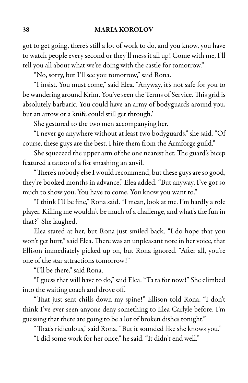got to get going, there's still a lot of work to do, and you know, you have to watch people every second or they'll mess it all up! Come with me, I'll tell you all about what we're doing with the castle for tomorrow."

"No, sorry, but I'll see you tomorrow," said Rona.

"I insist. You must come," said Elea. "Anyway, it's not safe for you to be wandering around Krim. You've seen the Terms of Service. This grid is absolutely barbaric. You could have an army of bodyguards around you, but an arrow or a knife could still get through.'

She gestured to the two men accompanying her.

"I never go anywhere without at least two bodyguards," she said. "Of course, these guys are the best. I hire them from the Armforge guild."

She squeezed the upper arm of the one nearest her. The guard's bicep featured a tattoo of a fist smashing an anvil.

"There's nobody else I would recommend, but these guys are so good, they're booked months in advance," Elea added. "But anyway, I've got so much to show you. You have to come. You know you want to."

"I think I'll be fine," Ronasaid. "I mean, look at me. I'm hardly arole player. Killing me wouldn't be much of a challenge, and what's the fun in that?" She laughed.

Elea stared at her, but Rona just smiled back. "I do hope that you won't get hurt," said Elea. There was an unpleasant note in her voice, that Ellison immediately picked up on, but Rona ignored. "After all, you're one of the star attractions tomorrow!"

"I'll be there," said Rona.

"I guess that will have to do," said Elea. "Ta ta for now!" She climbed into the waiting coach and drove off.

"That just sent chills down my spine!" Ellison told Rona. "I don't think I've ever seen anyone deny something to Elea Carlyle before. I'm guessing that there are going to be a lot of broken dishes tonight."

"That's ridiculous," said Rona. "But it sounded like she knows you."

"I did some work for her once," he said. "It didn't end well."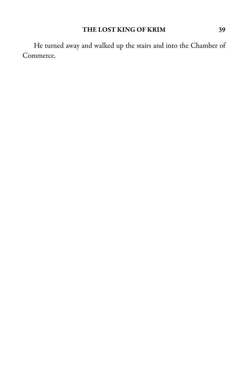### THE LOST KING OF KRIM 39

He turned away and walked up the stairs and into the Chamber of Commerce.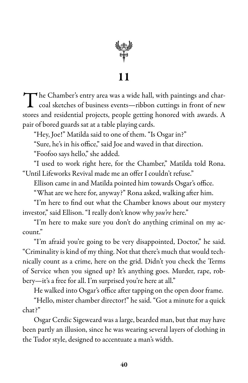

The Chamber's entry area was a wide hall, with paintings and char-<br>coal sketches of business events—ribbon cuttings in front of new coal sketches of business events—ribbon cuttings in front of new stores and residential projects, people getting honored with awards. A pair of bored guards sat at a table playing cards.

"Hey, Joe!" Matilda said to one of them. "Is Osgar in?"

"Sure, he's in his office," said Joe and waved in that direction.

"Foofoo says hello," she added.

"I used to work right here, for the Chamber," Matilda told Rona. "Until Lifeworks Revival made me an offer I couldn't refuse."

Ellison came in and Matilda pointed him towards Osgar's office.

"What are we here for, anyway?" Rona asked, walking after him.

"I'm here to find out what the Chamber knows about our mystery investor," said Ellison. "I really don't know why *you're* here."

"I'm here to make sure you don't do anything criminal on my account."

"I'm afraid you're going to be very disappointed, Doctor," he said. "Criminality is kind of my thing. Not that there's much that would technically count as a crime, here on the grid. Didn't you check the Terms of Service when you signed up? It's anything goes. Murder, rape, robbery—it's a free for all. I'm surprised you're here at all."

He walked into Osgar's office after tapping on the open door frame.

"Hello, mister chamber director!" he said. "Got a minute for a quick chat?"

Osgar Cerdic Sigeweard wasalarge, bearded man, but that may have been partly an illusion, since he was wearing several layers of clothing in the Tudor style, designed to accentuate a man's width.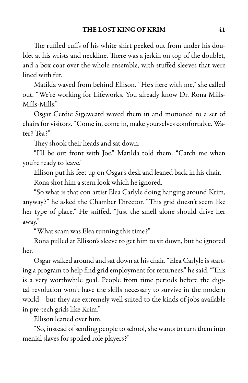The ruffled cuffs of his white shirt peeked out from under his doublet at his wrists and neckline. There was a jerkin on top of the doublet, and a box coat over the whole ensemble, with stuffed sleeves that were lined with fur.

Matilda waved from behind Ellison. "He's here with me," she called out. "We're working for Lifeworks. You already know Dr. Rona Mills-Mills-Mills."

Osgar Cerdic Sigeweard waved them in and motioned to a set of chairs for visitors. "Come in, come in, make yourselves comfortable. Water? Tea?"

They shook their heads and sat down.

"I'll be out front with Joe," Matilda told them. "Catch me when you're ready to leave."

Ellison put his feet up on Osgar's desk and leaned back in his chair. Rona shot him a stern look which he ignored.

"So what is that con artist Elea Carlyle doing hanging around Krim, anyway?" he asked the Chamber Director. "This grid doesn't seem like her type of place." He sniffed. "Just the smell alone should drive her away."

"What scam was Elea running this time?"

Rona pulled at Ellison's sleeve to get him to sit down, but he ignored her.

Osgar walked around and sat down at his chair. "Elea Carlyle is starting a program to help find grid employment for returnees," he said. "This is a very worthwhile goal. People from time periods before the digital revolution won't have the skills necessary to survive in the modern world—but they are extremely well-suited to the kinds of jobs available in pre-tech grids like Krim."

Ellison leaned over him.

"So, instead of sending peopleto school, she wants to turn them into menial slaves for spoiled role players?"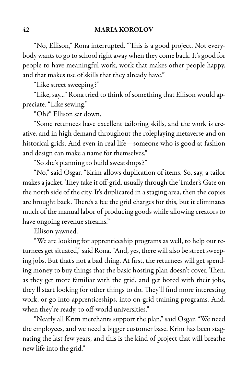"No, Ellison," Rona interrupted. "This is a good project. Not everybody wants to go to school right away when they come back. It's good for people to have meaningful work, work that makes other people happy, and that makes use of skills that they already have."

"Like street sweeping?"

"Like, say..." Rona tried to think of something that Ellison would appreciate. "Like sewing."

"Oh?" Ellison sat down.

"Some returnees have excellent tailoring skills, and the work is creative, and in high demand throughout the roleplaying metaverse and on historical grids. And even in real life—someone who is good at fashion and design can make a name for themselves."

"So she's planning to build sweatshops?"

"No," said Osgar. "Krim allows duplication of items. So, say, a tailor makes a jacket. They take it off-grid, usually through the Trader's Gate on the north side of the city. It's duplicated in a staging area, then the copies are brought back. There's a fee the grid charges for this, but it eliminates much of the manual labor of producing goods while allowing creators to have ongoing revenue streams."

Ellison yawned.

"We are looking for apprenticeship programs as well, to help our returnees get situated," said Rona. "And, yes, there will also be street sweeping jobs. But that's not a bad thing. At first, the returnees will get spending money to buy things that the basic hosting plan doesn't cover. Then, as they get more familiar with the grid, and get bored with their jobs, they'll start looking for other things to do. They'll find more interesting work, or go into apprenticeships, into on-grid training programs. And, when they're ready, to off-world universities."

"Nearly all Krim merchants support the plan," said Osgar. "We need the employees, and we need a bigger customer base. Krim has been stagnating the last few years, and this is the kind of project that will breathe new life into the grid."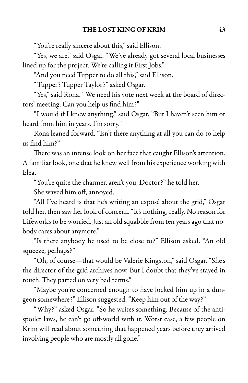"You're really sincere about this," said Ellison.

"Yes, we are," said Osgar. "We've already got several local businesses lined up for the project. We're calling it First Jobs."

"And you need Tupper to do all this," said Ellison.

"Tupper? Tupper Taylor?" asked Osgar.

"Yes," said Rona. "We need his vote next week at the board of directors' meeting. Can you help us find him?"

"I would if I knew anything," said Osgar. "But I haven't seen him or heard from him in years. I'm sorry."

Rona leaned forward. "Isn't there anything at all you can do to help us find him?"

There was an intense look on her face that caught Ellison's attention. A familiar look, one that he knew well from his experience working with Elea.

"You're quite the charmer, aren't you, Doctor?" he told her.

She waved him off, annoyed.

"All I've heard is that he's writing an exposé about the grid," Osgar told her, then saw her look of concern. "It's nothing, really. No reason for Lifeworks to be worried. Just an old squabble from ten years ago that nobody cares about anymore."

"Is there anybody he used to be close to?" Ellison asked. "An old squeeze, perhaps?"

"Oh, of course—that would be Valerie Kingston," said Osgar. "She's the director of the grid archives now. But I doubt that they've stayed in touch. They parted on very bad terms."

"Maybe you're concerned enough to have locked him up in a dungeon somewhere?" Ellison suggested. "Keep him out of the way?"

"Why?" asked Osgar. "So he writes something. Because of the antispoiler laws, he can't go off-world with it. Worst case, a few people on Krim will read about something that happened years before they arrived involving people who are mostly all gone."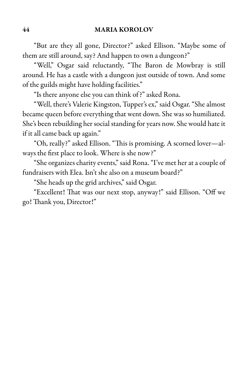"But are they all gone, Director?" asked Ellison. "Maybe some of them are still around, say? And happen to own a dungeon?"

"Well," Osgar said reluctantly, "The Baron de Mowbray is still around. He has a castle with a dungeon just outside of town. And some of the guilds might have holding facilities."

"Is there anyone else you can think of?" asked Rona.

"Well, there's Valerie Kingston, Tupper's ex," said Osgar. "She almost became queen before everything that went down. She was so humiliated. She's been rebuilding her social standing for years now. She would hate it if it all came back up again."

"Oh, really?" asked Ellison. "This is promising. A scorned lover—always the first place to look. Where is she now?"

"She organizes charity events," said Rona. "I've met her at a couple of fundraisers with Elea. Isn't she also on a museum board?"

"She heads up the grid archives," said Osgar.

"Excellent! That was our next stop, anyway!" said Ellison. "Off we go! Thank you, Director!"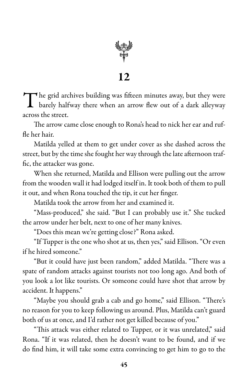

The grid archives building was fifteen minutes away, but they were<br>barely halfway there when an arrow flew out of a dark alleyway barely halfway there when an arrow flew out of a dark alleyway across the street.

The arrow came close enough to Rona's head to nick her ear and ruffle her hair.

Matilda yelled at them to get under cover as she dashed across the street, but by the time she fought her way through the late afternoon traffic, the attacker was gone.

When she returned, Matilda and Ellison were pulling out the arrow from the wooden wall it had lodged itself in. It took both of them to pull it out, and when Rona touched the tip, it cut her finger.

Matilda took the arrow from her and examined it.

"Mass-produced," she said. "But I can probably use it." She tucked the arrow under her belt, next to one of her many knives.

"Does this mean we're getting close?" Rona asked.

"If Tupper is the one who shot at us, then yes," said Ellison. "Or even if he hired someone."

"But it could have just been random," added Matilda. "There was a spate of random attacks against tourists not too long ago. And both of you look a lot like tourists. Or someone could have shot that arrow by accident. It happens."

"Maybe you should grab a cab and go home," said Ellison. "There's no reason for you to keep following us around. Plus, Matilda can't guard both of us at once, and I'd rather not get killed because of you."

"This attack was either related to Tupper, or it was unrelated," said Rona. "If it was related, then he doesn't want to be found, and if we do find him, it will take some extra convincing to get him to go to the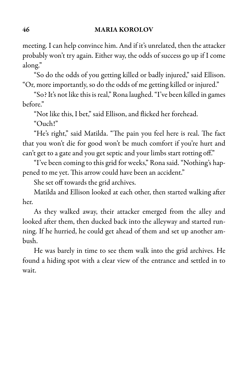meeting. I can help convince him. And if it's unrelated, then the attacker probably won't try again. Either way, the odds of success go up if I come along."

"So do the odds of you getting killed or badly injured," said Ellison. "Or, more importantly, so do the odds of me getting killed or injured."

"So? It's not like this is real," Rona laughed. "I've been killed in games before."

"Not like this, I bet," said Ellison, and flicked her forehead.

"Ouch!"

"He's right," said Matilda. "The pain you feel here is real. The fact that you won't die for good won't be much comfort if you're hurt and can't get to a gate and you get septic and your limbs start rotting off."

"I've been coming to this grid for weeks," Ronasaid. "Nothing's happened to me yet. This arrow could have been an accident."

She set off towards the grid archives.

Matilda and Ellison looked at each other, then started walking after her.

As they walked away, their attacker emerged from the alley and looked after them, then ducked back into the alleyway and started running. If he hurried, he could get ahead of them and set up another ambush.

He was barely in time to see them walk into the grid archives. He found a hiding spot with a clear view of the entrance and settled in to wait.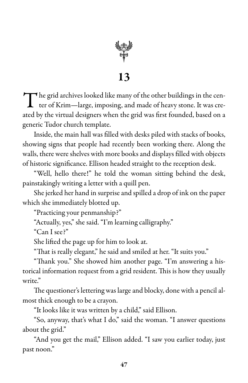

The grid archives looked like many of the other buildings in the center of Krim—large, imposing, and made of heavy stone. It was creter of Krim—large, imposing, and made of heavy stone. It was created by the virtual designers when the grid was first founded, based on a generic Tudor church template.

Inside, the main hall was filled with desks piled with stacks of books, showing signs that people had recently been working there. Along the walls, there were shelves with more books and displays filled with objects of historic significance. Ellison headed straight to the reception desk.

"Well, hello there!" he told the woman sitting behind the desk, painstakingly writing a letter with a quill pen.

She jerked her hand in surprise and spilled a drop of ink on the paper which she immediately blotted up.

"Practicing your penmanship?"

"Actually, yes," she said. "I'm learning calligraphy."

"Can I see?"

She lifted the page up for him to look at.

"That is really elegant," he said and smiled at her. "It suits you."

"Thank you." She showed him another page. "I'm answering a historical information request from a grid resident. This is how they usually write."

The questioner's lettering was large and blocky, done with a pencil almost thick enough to be a crayon.

"It looks like it was written by a child," said Ellison.

"So, anyway, that's what I do," said the woman. "I answer questions about the grid."

"And you get the mail," Ellison added. "I saw you earlier today, just past noon."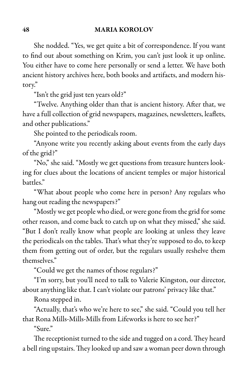She nodded. "Yes, we get quite a bit of correspondence. If you want to find out about something on Krim, you can't just look it up online. You either have to come here personally or send a letter. We have both ancient history archives here, both books and artifacts, and modern history."

"Isn't the grid just ten years old?"

"Twelve. Anything older than that is ancient history. After that, we have a full collection of grid newspapers, magazines, newsletters, leaflets, and other publications."

She pointed to the periodicals room.

"Anyone write you recently asking about events from the early days of the grid?"

"No," she said. "Mostly we get questions from treasure hunters looking for clues about the locations of ancient temples or major historical battles."

"What about people who come here in person? Any regulars who hang out reading the newspapers?"

"Mostly we get people who died, or were gone from the grid for some other reason, and come back to catch up on what they missed," she said. "But I don't really know what people are looking at unless they leave the periodicals on the tables. That's what they're supposed to do, to keep them from getting out of order, but the regulars usually reshelve them themselves."

"Could we get the names of those regulars?"

"I'm sorry, but you'll need to talk to Valerie Kingston, our director, about anything like that. I can't violate our patrons' privacy like that."

Rona stepped in.

"Actually, that's who we're here to see," she said. "Could you tell her that Rona Mills-Mills-Mills from Lifeworks is here to see her?"

"Sure"

The receptionist turned to the side and tugged on a cord. They heard a bell ring upstairs. They looked up and saw a woman peer down through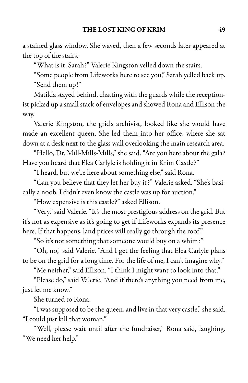a stained glass window. She waved, then a few seconds later appeared at the top of the stairs.

"What is it, Sarah?" Valerie Kingston yelled down the stairs.

"Some people from Lifeworks here to see you," Sarah yelled back up. "Send them up!"

Matilda stayed behind, chatting with the guards while the receptionist picked up a small stack of envelopes and showed Rona and Ellison the way.

Valerie Kingston, the grid's archivist, looked like she would have made an excellent queen. She led them into her office, where she sat down at a desk next to the glass wall overlooking the main research area.

"Hello, Dr. Mill-Mills-Mills," she said. "Are you here about the gala? Have you heard that Elea Carlyle is holding it in Krim Castle?"

"I heard, but we're here about something else," said Rona.

"Can you believe that they let her buy it?" Valerie asked. "She's basically a noob. I didn't even know the castle was up for auction."

"How expensive is this castle?" asked Ellison.

"Very," said Valerie. "It's the most prestigious address on the grid. But it's not as expensive as it's going to get if Lifeworks expands its presence here. If that happens, land prices will really go through the roof."

"So it's not something that someone would buy on a whim?"

"Oh, no," said Valerie. "And I get the feeling that Elea Carlyle plans to be on the grid for a long time. For the life of me, I can't imagine why."

"Me neither," said Ellison. "I think I might want to look into that."

"Please do," said Valerie. "And if there's anything you need from me, just let me know."

She turned to Rona.

"I was supposed to be the queen, and live in that very castle," she said. "I could just kill that woman."

"Well, please wait until after the fundraiser," Rona said, laughing. "We need her help."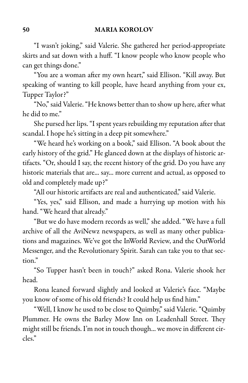"I wasn't joking," said Valerie. She gathered her period-appropriate skirts and sat down with a huff. "I know people who know people who can get things done."

"You are a woman after my own heart," said Ellison. "Kill away. But speaking of wanting to kill people, have heard anything from your ex, Tupper Taylor?"

"No," said Valerie. "He knows better than to show up here, after what he did to me."

She pursed her lips. "I spent years rebuilding my reputation after that scandal. I hope he's sitting in a deep pit somewhere."

"We heard he's working on a book," said Ellison. "A book about the early history of the grid." He glanced down at the displays of historic artifacts. "Or, should I say, the recent history of the grid. Do you have any historic materials that are... say... more current and actual, as opposed to old and completely made up?"

"All our historic artifacts are real and authenticated," said Valerie.

"Yes, yes," said Ellison, and made a hurrying up motion with his hand. "We heard that already."

"But we do have modern records as well," she added. "We have a full archive of all the AviNewz newspapers, as well as many other publications and magazines. We've got the InWorld Review, and the OutWorld Messenger, and the Revolutionary Spirit. Sarah can take you to that section."

"So Tupper hasn't been in touch?" asked Rona. Valerie shook her head.

Rona leaned forward slightly and looked at Valerie's face. "Maybe you know of some of his old friends? It could help us find him."

"Well, I know he used to be close to Quimby," said Valerie. "Quimby Plummer. He owns the Barley Mow Inn on Leadenhall Street. They might still be friends. I'm not in touch though... we move in different circles."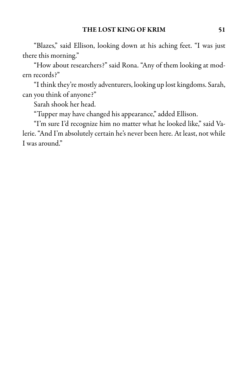"Blazes," said Ellison, looking down at his aching feet. "I was just there this morning."

"How about researchers?" said Rona. "Any of them looking at modern records?"

"I think they're mostly adventurers, looking uplost kingdoms. Sarah, can you think of anyone?"

Sarah shook her head.

"Tupper may have changed his appearance," added Ellison.

"I'm sure I'd recognize him no matter what he looked like," said Valerie. "And I'm absolutely certain he's never been here. At least, not while I was around."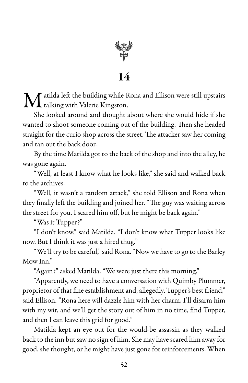

 $\bf{M}$  atilda left the building while Rona and Ellison were still upstairs talking with Valerie Kingston. talking with Valerie Kingston.

She looked around and thought about where she would hide if she wanted to shoot someone coming out of the building. Then she headed straight for the curio shop across the street. The attacker saw her coming and ran out the back door.

By the time Matilda got to the back of the shop and into the alley, he was gone again.

"Well, at least I know what he looks like," she said and walked back to the archives.

"Well, it wasn't a random attack," she told Ellison and Rona when they finally left the building and joined her. "The guy was waiting across the street for you. I scared him off, but he might be back again."

"Was it Tupper?"

"I don't know," said Matilda. "I don't know what Tupper looks like now. But I think it was just a hired thug."

"We'll try to be careful," said Rona. "Now we have to go to the Barley Mow Inn."

"Again?" asked Matilda. "We were just there this morning."

"Apparently, we need to have a conversation with Quimby Plummer, proprietor of that fine establishment and, allegedly, Tupper's best friend," said Ellison. "Rona here will dazzle him with her charm, I'll disarm him with my wit, and we'll get the story out of him in no time, find Tupper, and then I can leave this grid for good."

Matilda kept an eye out for the would-be assassin as they walked back to the inn but saw no sign of him. She may have scared him away for good, she thought, or he might have just gone for reinforcements. When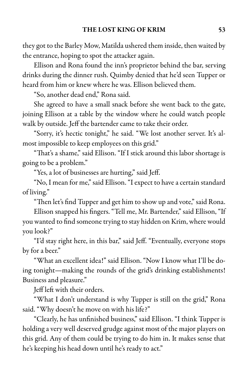they got to the Barley Mow, Matilda ushered them inside, then waited by the entrance, hoping to spot the attacker again.

Ellison and Rona found the inn's proprietor behind the bar, serving drinks during the dinner rush. Quimby denied that he'd seen Tupper or heard from him or knew where he was. Ellison believed them.

"So, another dead end," Rona said.

She agreed to have a small snack before she went back to the gate, joining Ellison at a table by the window where he could watch people walk by outside. Jeff the bartender came to take their order.

"Sorry, it's hectic tonight," he said. "We lost another server. It's almost impossible to keep employees on this grid."

"That's a shame," said Ellison. "If I stick around this labor shortage is going to be a problem."

"Yes, a lot of businesses are hurting," said Jeff.

"No, I mean for me," said Ellison. "I expect to have a certain standard of living."

"Then let's find Tupper and get him to show up and vote," said Rona.

Ellison snapped his fingers. "Tell me, Mr. Bartender," said Ellison, "If you wanted to find someone trying to stay hidden on Krim, where would you look?"

"I'd stay right here, in this bar," said Jeff. "Eventually, everyone stops by for a beer."

"What an excellent idea!" said Ellison. "Now I know what I'll be doing tonight—making the rounds of the grid's drinking establishments! Business and pleasure."

Jeff left with their orders.

"What I don't understand is why Tupper is still on the grid," Rona said. "Why doesn't he move on with his life?"

"Clearly, he has unfinished business," said Ellison. "I think Tupper is holding a very well deserved grudge against most of the major players on this grid. Any of them could be trying to do him in. It makes sense that he's keeping his head down until he's ready to act."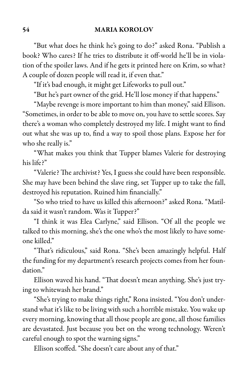"But what does he think he's going to do?" asked Rona. "Publish a book? Who cares? If he tries to distribute it off-world he'll be in violation of the spoiler laws. And if he gets it printed here on Krim, so what? A couple of dozen people will read it, if even that."

"If it's bad enough, it might get Lifeworks to pull out."

"But he's part owner of the grid. He'll lose money if that happens."

"Maybe revenge is more important to him than money," said Ellison. "Sometimes, in order to be able to move on, you have to settle scores. Say there's a woman who completely destroyed my life. I might want to find out what she was up to, find a way to spoil those plans. Expose her for who she really is."

"What makes you think that Tupper blames Valerie for destroying his life?"

"Valerie? The archivist? Yes, I guess she could have been responsible. She may have been behind the slave ring, set Tupper up to take the fall, destroyed his reputation. Ruined him financially."

"So who tried to have us killed this afternoon?" asked Rona. "Matilda said it wasn't random. Was it Tupper?"

"I think it was Elea Carlyne," said Ellison. "Of all the people we talked to this morning, she's the one who's the most likely to have someone killed."

"That's ridiculous," said Rona. "She's been amazingly helpful. Half the funding for my department's research projects comes from her foundation."

Ellison waved his hand. "That doesn't mean anything. She's just trying to whitewash her brand."

"She's trying to make things right," Rona insisted. "You don't understand what it's like to be living with such a horrible mistake. You wake up every morning, knowing that all those people are gone, all those families are devastated. Just because you bet on the wrong technology. Weren't careful enough to spot the warning signs."

Ellison scoffed. "She doesn't care about any of that."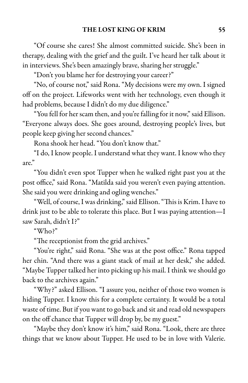"Of course she cares! She almost committed suicide. She's been in therapy, dealing with the grief and the guilt. I've heard her talk about it in interviews. She's been amazingly brave, sharing her struggle."

"Don't you blame her for destroying your career?"

"No, of course not," said Rona. "My decisions were my own. I signed off on the project. Lifeworks went with her technology, even though it had problems, because I didn't do my due diligence."

"You fell for her scam then, and you're falling for it now," said Ellison. "Everyone always does. She goes around, destroying people's lives, but people keep giving her second chances."

Rona shook her head. "You don't know that."

"I do, I know people. I understand what they want. I know who they are."

"You didn't even spot Tupper when he walked right past you at the post office," said Rona. "Matilda said you weren't even paying attention. She said you were drinking and ogling wenches."

"Well, of course, I was drinking," said Ellison. "This is Krim. I have to drink just to be able to tolerate this place. But I was paying attention—I saw Sarah, didn't I?"

"Who?"

"The receptionist from the grid archives."

"You're right," said Rona. "She was at the post office." Rona tapped her chin. "And there was a giant stack of mail at her desk," she added. "Maybe Tupper talked her into picking up his mail. I think we should go back to the archives again."

"Why?" asked Ellison. "I assure you, neither of those two women is hiding Tupper. I know this for a complete certainty. It would be a total waste of time. But if you want to go back and sitand read old newspapers on the off chance that Tupper will drop by, be my guest."

"Maybe they don't know it's him," said Rona. "Look, there are three things that we know about Tupper. He used to be in love with Valerie.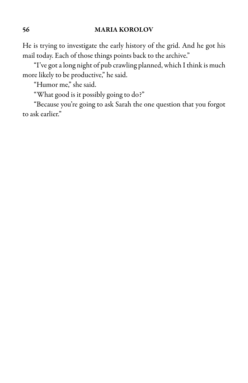He is trying to investigate the early history of the grid. And he got his mail today. Each of those things points back to the archive."

"I've got a long night of pub crawling planned, which I think is much more likely to be productive," he said.

"Humor me," she said.

"What good is it possibly going to do?"

"Because you're going to ask Sarah the one question that you forgot to ask earlier."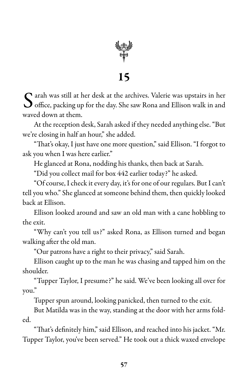

S arah was still at her desk at the archives. Valerie was upstairs in her office, packing up for the day. She saw Rona and Ellison walk in and arah was still at her desk at the archives. Valerie was upstairs in her waved down at them.

At the reception desk, Sarah asked if they needed anything else. "But we're closing in half an hour," she added.

"That's okay, I just have one more question," said Ellison. "I forgot to ask you when I was here earlier."

He glanced at Rona, nodding his thanks, then back at Sarah.

"Did you collect mail for box 442 earlier today?" he asked.

"Of course, I check it every day, it's for one of our regulars. But I can't tell you who." She glanced at someone behind them, then quickly looked back at Ellison.

Ellison looked around and saw an old man with a cane hobbling to the exit.

"Why can't you tell us?" asked Rona, as Ellison turned and began walking after the old man.

"Our patrons have a right to their privacy," said Sarah.

Ellison caught up to the man he was chasing and tapped him on the shoulder.

"Tupper Taylor, I presume?" he said. We've been looking all over for you."

Tupper spun around, looking panicked, then turned to the exit.

But Matilda was in the way, standing at the door with her arms folded.

"That's definitely him," said Ellison,and reached into his jacket. "Mr. Tupper Taylor, you've been served." He took out a thick waxed envelope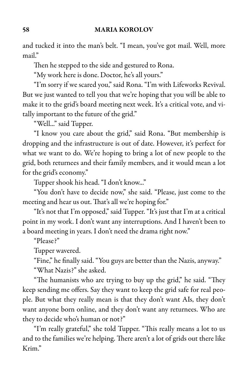and tucked it into the man's belt. "I mean, you've got mail. Well, more mail"

Then he stepped to the side and gestured to Rona.

"My work here is done. Doctor, he's all yours."

"I'm sorry if we scared you," said Rona. "I'm with Lifeworks Revival. But we just wanted to tell you that we're hoping that you will be able to make it to the grid's board meeting next week. It's a critical vote, and vitally important to the future of the grid."

"Well..." said Tupper.

"I know you care about the grid," said Rona. "But membership is dropping and the infrastructure is out of date. However, it's perfect for what we want to do. We're hoping to bring a lot of new people to the grid, both returnees and their family members, and it would mean a lot for the grid's economy."

Tupper shook his head. "I don't know..."

"You don't have to decide now," she said. "Please, just come to the meeting and hear us out. That's all we're hoping for."

"It's not that I'm opposed," said Tupper. "It's just that I'm at a critical point in my work. I don't want any interruptions. And I haven't been to a board meeting in years. I don't need the drama right now."

"Please?"

Tupper wavered.

"Fine," he finally said. "You guys are better than the Nazis, anyway."

"What Nazis?" she asked.

"The humanists who are trying to buy up the grid," he said. "They keep sending me offers. Say they want to keep the grid safe for real people. But what they really mean is that they don't want AIs, they don't want anyone born online, and they don't want any returnees. Who are they to decide who's human or not?"

"I'm really grateful," she told Tupper. "This really means a lot to us and to the families we're helping. There aren't a lot of grids out there like Krim."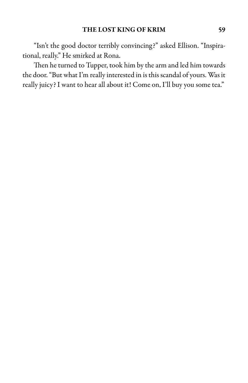"Isn't the good doctor terribly convincing?" asked Ellison. "Inspirational, really." He smirked at Rona.

Then he turned to Tupper, took him by the arm and led him towards the door."But what I'm really interested in is this scandal of yours. Was it really juicy? I want to hear all about it! Come on, I'll buy you some tea."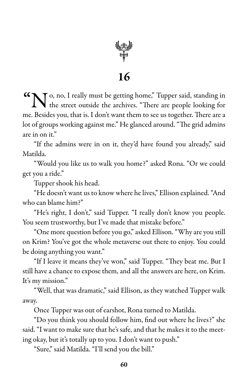

"No, no, I really must be getting home," Tupper said, standing in **t** the street outside the archives. "There are people looking for me. Besides you, that is. I don't want them to see us together. There are a lot of groups working against me." He glanced around. "The grid admins are in on it."

"If the admins were in on it, they'd have found you already," said Matilda.

"Would you like us to walk you home?" asked Rona. "Or we could get you a ride."

Tupper shook his head.

"He doesn't want us to know where helives," Ellison explained."And who can blame him?"

"He's right, I don't," said Tupper. "I really don't know you people. You seem trustworthy, but I've made that mistake before."

"One more question before you go,"asked Ellison."Why are you still on Krim? You've got the whole metaverse out there to enjoy. You could be doing anything you want."

"If I leave it means they've won," said Tupper. "They beat me. But I still have a chance to expose them, and all the answers are here, on Krim. It's my mission."

"Well, that was dramatic," said Ellison, as they watched Tupper walk away.

Once Tupper was out of earshot, Rona turned to Matilda.

"Do you think you should follow him, find out where he lives?" she said. "I want to make sure that he's safe, and that he makes it to the meeting okay, but it's totally up to you. I don't want to push."

"Sure," said Matilda. "I'll send you the bill."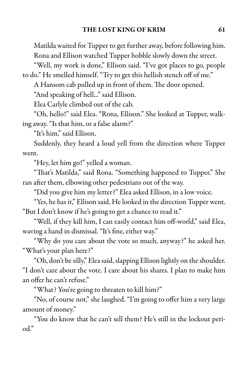Matilda waited for Tupper to get further away, before following him. Rona and Ellison watched Tupper hobble slowly down the street.

"Well, my work is done," Ellison said. "I've got places to go, people to do." He smelled himself. "Try to get this hellish stench off of me."

A Hansom cab pulled up in front of them. The door opened.

"And speaking of hell..." said Ellison.

Elea Carlyle climbed out of the cab.

"Oh, hello!" said Elea. "Rona, Ellison." She looked at Tupper, walking away. "Is that him, or a false alarm?"

"It's him," said Ellison.

Suddenly, they heard a loud yell from the direction where Tupper went.

"Hey, let him go!" yelled a woman.

"That's Matilda," said Rona. "Something happened to Tupper." She ran after them, elbowing other pedestrians out of the way.

"Did you give him my letter?" Elea asked Ellison, in a low voice.

"Yes, he has it," Ellison said. Helooked in the direction Tupper went. "But I don't know if he's going to get a chance to read it."

"Well, if they kill him, I can easily contact him off-world," said Elea, waving a hand in dismissal. "It's fine, either way."

"Why do you care about the vote so much, anyway?" he asked her. "What's your plan here?"

"Oh, don't be silly," Elea said, slapping Ellison lightly on the shoulder. "I don't care about the vote. I care about his shares. I plan to make him an offer he can't refuse."

"What? You're going to threaten to kill him?"

"No, of course not," she laughed. "I'm going to offer him a very large amount of money."

"You do know that he can't sell them? He's still in the lockout period."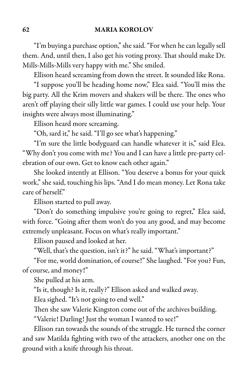"I'm buying a purchase option," she said. "For when he can legally sell them. And, until then, I also get his voting proxy. That should make Dr. Mills-Mills-Mills very happy with me." She smiled.

Ellison heard screaming from down the street. It sounded like Rona.

"I suppose you'll be heading home now," Elea said. "You'll miss the big party. All the Krim movers and shakers will be there. The ones who aren't off playing their silly little war games. I could use your help. Your insights were always most illuminating."

Ellison heard more screaming.

"Oh, sard it," he said. "I'll go see what's happening."

"I'm sure the little bodyguard can handle whatever it is," said Elea. "Why don't you come with me? You and I can have a little pre-party celebration of our own. Get to know each other again."

She looked intently at Ellison. "You deserve a bonus for your quick work," she said, touching his lips. "And I do mean money. Let Rona take care of herself."

Ellison started to pull away.

"Don't do something impulsive you're going to regret," Elea said, with force. "Going after them won't do you any good, and may become extremely unpleasant. Focus on what's really important."

Ellison paused and looked at her.

"Well, that's the question, isn't it?" he said. "What's important?"

"For me, world domination, of course!" She laughed. "For you? Fun, of course, and money!"

She pulled at his arm.

"Is it, though? Is it, really?" Ellison asked and walked away.

Elea sighed. "It's not going to end well."

Then she saw Valerie Kingston come out of the archives building.

"Valerie! Darling! Just the woman I wanted to see!"

Ellison ran towards the sounds of the struggle. He turned the corner and saw Matilda fighting with two of the attackers, another one on the ground with a knife through his throat.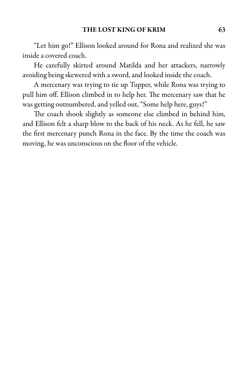"Let him go!" Ellison looked around for Rona and realized she was inside a covered coach.

He carefully skirted around Matilda and her attackers, narrowly avoiding being skewered with a sword, and looked inside the coach.

A mercenary was trying to tie up Tupper, while Rona was trying to pull him off. Ellison climbed in to help her. The mercenary saw that he was getting outnumbered, and yelled out, "Some help here, guys!"

The coach shook slightly as someone else climbed in behind him, and Ellison felt a sharp blow to the back of his neck. As he fell, he saw the first mercenary punch Rona in the face. By the time the coach was moving, he was unconscious on the floor of the vehicle.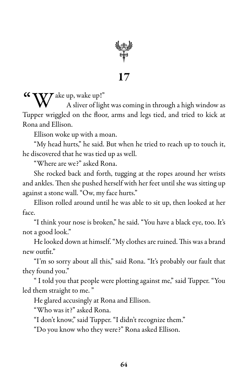

 $\boldsymbol{V}$ ake up, wake up!"

A sliver of light wascoming in through a high window as Tupper wriggled on the floor, arms and legs tied, and tried to kick at Rona and Ellison.

Ellison woke up with a moan.

"My head hurts," he said. But when he tried to reach up to touch it, he discovered that he was tied up as well.

"Where are we?" asked Rona.

She rocked back and forth, tugging at the ropes around her wrists and ankles. Then she pushed herself with her feet until she was sitting up against a stone wall. "Ow, my face hurts."

Ellison rolled around until he was able to sit up, then looked at her face.

"I think your nose is broken," he said. "You have a black eye, too. It's not a good look."

He looked down at himself. "My clothes are ruined. This was a brand new outfit."

"I'm so sorry about all this," said Rona. "It's probably our fault that they found you."

" I told you that people were plotting against me," said Tupper. "You led them straight to me. "

He glared accusingly at Rona and Ellison.

"Who was it?" asked Rona.

"I don't know," said Tupper. "I didn't recognize them."

"Do you know who they were?" Rona asked Ellison.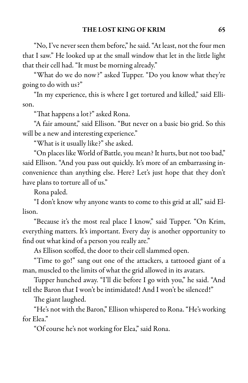"No, I've never seen them before," hesaid."At least, not thefour men that I saw." He looked up at the small window that let in the little light that their cell had. "It must be morning already."

"What do we do now?" asked Tupper. "Do you know what they're going to do with us?"

"In my experience, this is where I get tortured and killed," said Ellison.

"That happens a lot?" asked Rona.

"A fair amount," said Ellison. "But never on a basic bio grid. So this will be a new and interesting experience."

"What is it usually like?" she asked.

"On places like World of Battle, you mean? It hurts, but not too bad," said Ellison. "And you pass out quickly. It's more of an embarrassing inconvenience than anything else. Here? Let's just hope that they don't have plans to torture all of us."

Rona paled.

"I don't know why anyone wants to come to this grid at all," said Ellison.

"Because it's the most real place I know," said Tupper. "On Krim, everything matters. It's important. Every day is another opportunity to find out what kind of a person you really are."

As Ellison scoffed, the door to their cell slammed open.

"Time to go!" sang out one of the attackers, a tattooed giant of a man, muscled to the limits of what the grid allowed in its avatars.

Tupper hunched away. "I'll die before I go with you," he said. "And tell the Baron that I won't be intimidated! And I won't be silenced!"

The giant laughed.

"He's not with the Baron," Ellison whispered to Rona."He's working for Elea."

"Of course he's not working for Elea," said Rona.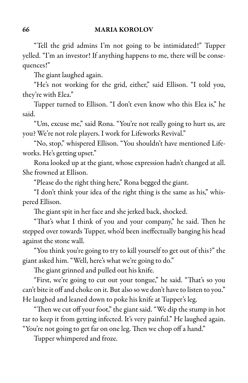"Tell the grid admins I'm not going to be intimidated!" Tupper yelled. "I'm an investor! If anything happens to me, there will be consequences!"

The giant laughed again.

"He's not working for the grid, either," said Ellison. "I told you, they're with Elea."

Tupper turned to Ellison. "I don't even know who this Elea is," he said.

"Um, excuse me," said Rona. "You're not really going to hurt us, are you? We're not role players. I work for Lifeworks Revival."

"No, stop," whispered Ellison. "You shouldn't have mentioned Lifeworks. He's getting upset."

Rona looked up at the giant, whose expression hadn't changed at all. She frowned at Ellison.

"Please do the right thing here," Rona begged the giant.

"I don't think your idea of the right thing is the same as his," whispered Ellison.

The giant spit in her face and she jerked back, shocked.

"That's what I think of you and your company," he said. Then he stepped over towards Tupper, who'd been ineffectually banging his head against the stone wall.

"You think you're going to try to kill yourself to get out of this?" the giant asked him. "Well, here's what we're going to do."

The giant grinned and pulled out his knife.

"First, we're going to cut out your tongue," he said. "That's so you can't bite it off and choke on it. But also so we don't have to listen to you." He laughed and leaned down to poke his knife at Tupper's leg.

"Then we cut off your foot," the giant said. "We dip the stump in hot tar to keep it from getting infected. It's very painful." He laughed again. "You're not going to get far on one leg. Then we chop off a hand."

Tupper whimpered and froze.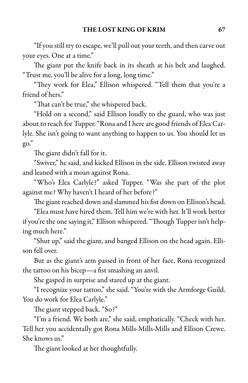"If you still try to escape, we'll pull out your teeth, and then carve out your eyes. One at a time."

The giant put the knife back in its sheath at his belt and laughed. "Trust me, you'll be alive for a long, long time."

"They work for Elea," Ellison whispered. "Tell them that you're a friend of hers."

"That can't be true," she whispered back.

"Hold on a second," said Ellison loudly to the guard, who was just about to reach for Tupper. "Rona and I here are good friends of Elea Carlyle. She isn't going to want anything to happen to us. You should let us go."

The giant didn't fall for it.

"Swiver," he said, and kicked Ellison in the side. Ellison twisted away and leaned with a moan against Rona.

"Who's Elea Carlyle?" asked Tupper. "Was she part of the plot against me? Why haven't I heard of her before?"

The giant reached down and slammed his fist down on Ellison's head.

"Elea must have hired them. Tell him we're with her. It'll work better if you're the one saying it," Ellison whispered. "Though Tupper isn't helping much here."

"Shut up," said the giant, and banged Ellison on the head again. Ellison fell over.

But as the giant's arm passed in front of her face, Rona recognized the tattoo on his bicep—a fist smashing an anvil.

She gasped in surprise and stared up at the giant.

"I recognize your tattoo," she said. "You're with the Armforge Guild. You do work for Elea Carlyle."

The giant stepped back. "So?"

"I'm a friend. We both are," she said, emphatically. "Check with her. Tell her you accidentally got Rona Mills-Mills-Mills and Ellison Crewe. She knows us."

The giant looked at her thoughtfully.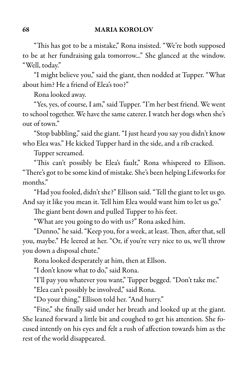"This has got to be a mistake," Rona insisted. "We're both supposed to be at her fundraising gala tomorrow..." She glanced at the window. "Well, today."

"I might believe you," said the giant, then nodded at Tupper. "What about him? He a friend of Elea's too?"

Rona looked away.

"Yes, yes, of course, Iam," said Tupper. "I'm her best friend. We went to school together. We have the same caterer. I watch her dogs when she's out of town."

"Stop babbling," said the giant. "I just heard you say you didn't know who Elea was." He kicked Tupper hard in the side, and a rib cracked.

Tupper screamed.

"This can't possibly be Elea's fault," Rona whispered to Ellison. "There's got to be some kind of mistake. She's been helping Lifeworks for months."

"Had you fooled, didn't she?" Ellison said."Tell the giant to let us go. And say it like you mean it. Tell him Elea would want him to let us go."

The giant bent down and pulled Tupper to his feet.

"What are you going to do with us?" Rona asked him.

"Dunno," he said. "Keep you, for a week, at least. Then, after that, sell you, maybe." He leered at her. "Or, if you're very nice to us, we'll throw you down a disposal chute."

Rona looked desperately at him, then at Ellson.

"I don't know what to do," said Rona.

"I'll pay you whatever you want," Tupper begged. "Don't take me."

"Elea can't possibly be involved," said Rona.

"Do your thing," Ellison told her. "And hurry."

"Fine," she finally said under her breath and looked up at the giant. She leaned forward a little bit and coughed to get his attention. She focused intently on his eyes and felt a rush of affection towards him as the rest of the world disappeared.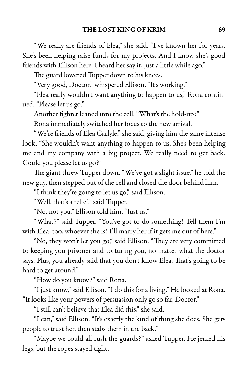"We really are friends of Elea," she said. "I've known her for years. She's been helping raise funds for my projects. And I know she's good friends with Ellison here. I heard her say it, just a little while ago."

The guard lowered Tupper down to his knees.

"Very good, Doctor," whispered Ellison. "It's working."

"Elea really wouldn't want anything to happen to us," Rona continued. "Please let us go."

Another fighter leaned into the cell. "What's the hold-up?"

Rona immediately switched her focus to the new arrival.

"We're friends of Elea Carlyle," she said, giving him the same intense look. "She wouldn't want anything to happen to us. She's been helping me and my company with a big project. We really need to get back. Could you please let us go?"

The giant threw Tupper down. "We've got a slight issue," he told the new guy, then stepped out of the cell and closed the door behind him.

"I think they're going to let us go," said Ellison.

"Well, that's a relief," said Tupper.

"No, not you," Ellison told him. "Just us."

"What?" said Tupper. "You've got to do something! Tell them I'm with Elea, too, whoever she is! I'll marry her if it gets me out of here."

"No, they won't let you go," said Ellison. "They are very committed to keeping you prisoner and torturing you, no matter what the doctor says. Plus, you already said that you don't know Elea. That's going to be hard to get around."

"How do you know?" said Rona.

"I just know," said Ellison. "I do this foraliving." Helooked at Rona. "It looks like your powers of persuasion only go so far, Doctor."

"I still can't believe that Elea did this," she said.

"I can," said Ellison. "It's exactly the kind of thing she does. She gets people to trust her, then stabs them in the back."

"Maybe we could all rush the guards?" asked Tupper. He jerked his legs, but the ropes stayed tight.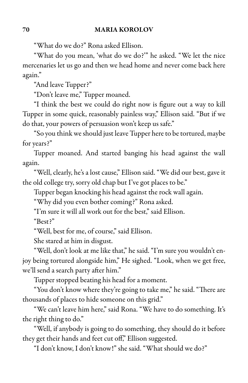"What do we do?" Rona asked Ellison.

"What do you mean, 'what do we do?'" he asked. "We let the nice mercenaries let us go and then we head home and never come back here again."

"And leave Tupper?"

"Don't leave me," Tupper moaned.

"I think the best we could do right now is figure out a way to kill Tupper in some quick, reasonably painless way," Ellison said. "But if we do that, your powers of persuasion won't keep us safe."

"So you think we should just leave Tupper here to be tortured, maybe for years?"

Tupper moaned. And started banging his head against the wall again.

"Well, clearly, he's a lost cause," Ellison said. "We did our best, gave it the old college try, sorry old chap but I've got places to be."

Tupper began knocking his head against the rock wall again.

"Why did you even bother coming?" Rona asked.

"I'm sure it will all work out for the best," said Ellison.

"Best?"

"Well, best for me, of course," said Ellison.

She stared at him in disgust.

"Well, don't look at me like that," he said. "I'm sure you wouldn't enjoy being tortured alongside him," He sighed. "Look, when we get free, we'll send a search party after him."

Tupper stopped beating his head for a moment.

"You don't know where they're going to take me," he said. "There are thousands of places to hide someone on this grid."

"We can't leave him here," said Rona. "We have to do something. It's the right thing to do."

"Well, if anybody is going to do something, they should do it before they get their hands and feet cut off," Ellison suggested.

"I don't know, I don't know!" she said. "What should we do?"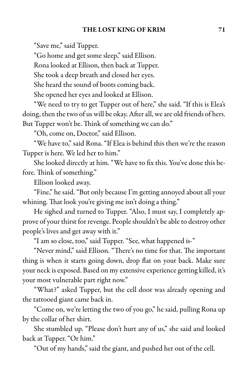"Save me," said Tupper.

"Go home and get some sleep," said Ellison.

Rona looked at Ellison, then back at Tupper.

She took a deep breath and closed her eyes.

She heard the sound of boots coming back.

She opened her eyes and looked at Ellison.

"We need to try to get Tupper out of here," she said. "If this is Elea's doing, then the two of us will be okay. After all, we are old friends of hers. But Tupper won't be. Think of something we can do."

"Oh, come on, Doctor," said Ellison.

"We have to," said Rona. "If Elea is behind this then we're the reason Tupper is here. We led her to him."

She looked directly at him. "We have to fix this. You've done this before. Think of something."

Ellison looked away.

"Fine," he said. "But only because I'm getting annoyed about all your whining. That look you're giving me isn't doing a thing."

He sighed and turned to Tupper. "Also, I must say, I completely approve of your thirst for revenge. People shouldn't be able to destroy other people's lives and get away with it."

"I am so close, too," said Tupper. "See, what happened is-"

"Never mind," said Ellison. "There's no time for that. The important thing is when it starts going down, drop flat on your back. Make sure your neck is exposed. Based on my extensive experience getting killed, it's your most vulnerable part right now."

"What?" asked Tupper, but the cell door was already opening and the tattooed giant came back in.

"Come on, we're letting the two of you go," he said, pulling Rona up by the collar of her shirt.

She stumbled up. "Please don't hurt any of us," she said and looked back at Tupper. "Or him."

"Out of my hands," said the giant, and pushed her out of the cell.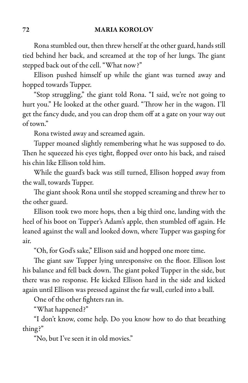Ronastumbled out, then threw herselfat the other guard, hands still tied behind her back, and screamed at the top of her lungs. The giant stepped back out of the cell. "What now?"

Ellison pushed himself up while the giant was turned away and hopped towards Tupper.

"Stop struggling," the giant told Rona. "I said, we're not going to hurt you." He looked at the other guard. "Throw her in the wagon. I'll get the fancy dude, and you can drop them off at a gate on your way out of town."

Rona twisted away and screamed again.

Tupper moaned slightly remembering what he was supposed to do. Then he squeezed his eyes tight, flopped over onto his back, and raised his chin like Ellison told him.

While the guard's back was still turned, Ellison hopped away from the wall, towards Tupper.

The giant shook Rona until she stopped screaming and threw her to the other guard.

Ellison took two more hops, then a big third one, landing with the heel of his boot on Tupper's Adam's apple, then stumbled off again. He leaned against the wall and looked down, where Tupper was gasping for air.

"Oh, for God's sake," Ellison said and hopped one more time.

The giant saw Tupper lying unresponsive on the floor. Ellison lost his balance and fell back down. The giant poked Tupper in the side, but there was no response. He kicked Ellison hard in the side and kicked again until Ellison was pressed against the far wall, curled into a ball.

One of the other fighters ran in.

"What happened?"

"I don't know, come help. Do you know how to do that breathing thing?"

"No, but I've seen it in old movies."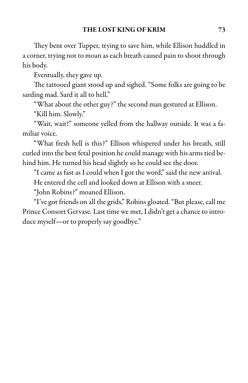They bent over Tupper, trying to save him, while Ellison huddled in a corner, trying not to moan as each breath caused pain to shoot through his body.

Eventually, they gave up.

The tattooed giant stood up and sighed. "Some folks are going to be sarding mad. Sard it all to hell."

"What about the other guy?" the second man gestured at Ellison.

"Kill him. Slowly."

"Wait, wait!" someone yelled from the hallway outside. It was a familiar voice.

"What fresh hell is this?" Ellison whispered under his breath, still curled into the best fetal position he could manage with his arms tied behind him. He turned his head slightly so he could see the door.

"I came as fast as I could when I got the word," said the new arrival. He entered the cell and looked down at Ellison with a sneer.

"John Robins?" moaned Ellison.

"I've got friends on all the grids," Robins gloated. "But please, call me Prince Consort Gervase. Last time we met, I didn't get a chance to introduce myself—or to properly say goodbye."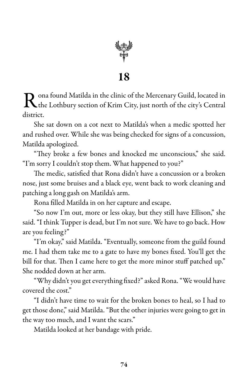

18

R ona found Matilda in the clinic of the Mercenary Guild, located in the Lothbury section of Krim City, just north of the city's Central district.

She sat down on a cot next to Matilda's when a medic spotted her and rushed over. While she was being checked for signs of a concussion, Matilda apologized.

"They broke a few bones and knocked me unconscious," she said. "I'm sorry I couldn't stop them. What happened to you?"

The medic, satisfied that Rona didn't have a concussion or a broken nose, just some bruises and a black eye, went back to work cleaning and patching a long gash on Matilda's arm.

Rona filled Matilda in on her capture and escape.

"So now I'm out, more or less okay, but they still have Ellison," she said. "I think Tupper is dead, but I'm not sure. We have to go back. How are you feeling?"

"I'm okay," said Matilda. "Eventually, someone from the guild found me. I had them take me to a gate to have my bones fixed. You'll get the bill for that. Then I came here to get the more minor stuff patched up." She nodded down at her arm.

"Why didn't you get everything fixed?" asked Rona. "We would have covered the cost."

"I didn't have time to wait for the broken bones to heal, so I had to get those done," said Matilda. "But the other injuries were going to get in the way too much, and I want the scars."

Matilda looked at her bandage with pride.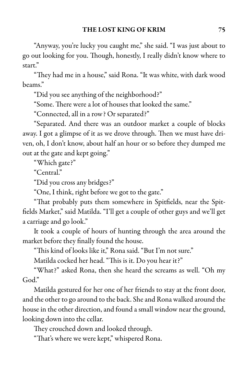"Anyway, you're lucky you caught me," she said. "I was just about to go out looking for you. Though, honestly, I really didn't know where to start."

"They had me in a house," said Rona. "It was white, with dark wood beams."

"Did you see anything of the neighborhood?"

"Some. There were a lot of houses that looked the same."

"Connected, all in a row? Or separated?"

"Separated. And there was an outdoor market a couple of blocks away. I got a glimpse of it as we drove through. Then we must have driven, oh, I don't know, about half an hour or so before they dumped me out at the gate and kept going."

"Which gate?"

"Central."

"Did you cross any bridges?"

"One, I think, right before we got to the gate."

"That probably puts them somewhere in Spitfields, near the Spitfields Market," said Matilda. "I'll get a couple of other guys and we'll get a carriage and go look."

It took a couple of hours of hunting through the area around the market before they finally found the house.

"This kind of looks like it," Rona said. "But I'm not sure."

Matilda cocked her head. "This is it. Do you hear it?"

"What?" asked Rona, then she heard the screams as well. "Oh my  $God"$ 

Matilda gestured for her one of her friends to stay at the front door, and the other to go around to the back. She and Rona walked around the house in the other direction, and found a small window near the ground, looking down into the cellar.

They crouched down and looked through.

"That's where we were kept," whispered Rona.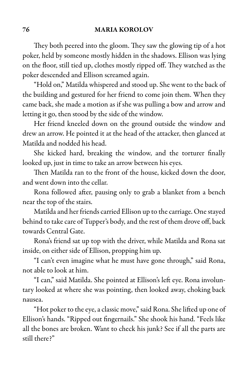### 76 MARIA KOROLOV

They both peered into the gloom. They saw the glowing tip of a hot poker, held by someone mostly hidden in the shadows. Ellison was lying on the floor, still tied up, clothes mostly ripped off. They watched as the poker descended and Ellison screamed again.

"Hold on," Matilda whispered and stood up. She went to the back of the building and gestured for her friend to come join them. When they came back, she made a motion as if she was pulling a bow and arrow and letting it go, then stood by the side of the window.

Her friend kneeled down on the ground outside the window and drew an arrow. He pointed it at the head of the attacker, then glanced at Matilda and nodded his head.

She kicked hard, breaking the window, and the torturer finally looked up, just in time to take an arrow between his eyes.

Then Matilda ran to the front of the house, kicked down the door, and went down into the cellar.

Rona followed after, pausing only to grab a blanket from a bench near the top of the stairs.

Matilda and her friends carried Ellison up to the carriage. One stayed behind to take care of Tupper's body, and the rest of them drove off, back towards Central Gate.

Rona's friend sat up top with the driver, while Matilda and Rona sat inside, on either side of Ellison, propping him up.

"I can't even imagine what he must have gone through," said Rona, not able to look at him.

"I can," said Matilda. She pointed at Ellison's left eye. Rona involuntary looked at where she was pointing, then looked away, choking back nausea.

"Hot poker to the eye, a classic move," said Rona. She lifted up one of Ellison's hands. "Ripped out fingernails." She shook his hand. "Feels like all the bones are broken. Want to check his junk? See if all the parts are still there?"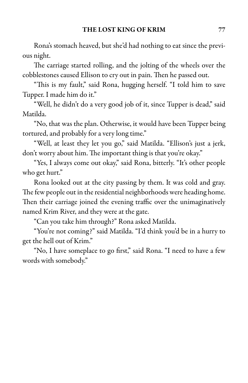Rona's stomach heaved, but she'd had nothing to eat since the previous night.

The carriage started rolling, and the jolting of the wheels over the cobblestones caused Ellison to cry out in pain. Then he passed out.

"This is my fault," said Rona, hugging herself. "I told him to save Tupper. I made him do it."

"Well, he didn't do a very good job of it, since Tupper is dead," said Matilda.

"No, that was the plan. Otherwise, it would have been Tupper being tortured, and probably for a very long time."

"Well, at least they let you go," said Matilda. "Ellison's just a jerk, don't worry about him. The important thing is that you're okay."

"Yes, I always come out okay," said Rona, bitterly. "It's other people who get hurt."

Rona looked out at the city passing by them. It was cold and gray. The few people out in the residential neighborhoods were heading home. Then their carriage joined the evening traffic over the unimaginatively named Krim River, and they were at the gate.

"Can you take him through?" Rona asked Matilda.

"You're not coming?" said Matilda. "I'd think you'd be in a hurry to get the hell out of Krim."

"No, I have someplace to go first," said Rona. "I need to have a few words with somebody."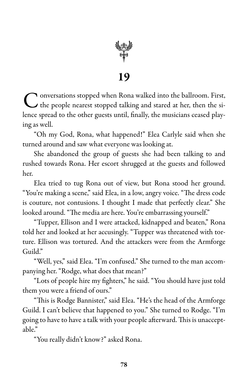

### 19

C onversations stopped when Rona walked into the ballroom. First,<br>C the people nearest stopped talking and stared at her, then the si- $\bigcap$  onversations stopped when Rona walked into the ballroom. First, lence spread to the other guests until, finally, the musicians ceased playing as well.

"Oh my God, Rona, what happened!" Elea Carlyle said when she turned around and saw what everyone was looking at.

She abandoned the group of guests she had been talking to and rushed towards Rona. Her escort shrugged at the guests and followed her.

Elea tried to tug Rona out of view, but Rona stood her ground. "You're making a scene," said Elea, in a low, angry voice. "The dress code is couture, not contusions. I thought I made that perfectly clear." She looked around. "The media are here. You're embarrassing yourself."

"Tupper, Ellison and I were attacked, kidnapped and beaten," Rona told her and looked at her accusingly. "Tupper was threatened with torture. Ellison was tortured. And the attackers were from the Armforge Guild"

"Well, yes," said Elea. "I'm confused." She turned to the man accompanying her. "Rodge, what does that mean?"

"Lots of people hire my fighters," he said. "You should have just told them you were a friend of ours."

"This is Rodge Bannister," said Elea. "He's the head of the Armforge Guild. I can't believe that happened to you." She turned to Rodge. "I'm going to have to have a talk with your people afterward. This is unacceptable."

"You really didn't know?" asked Rona.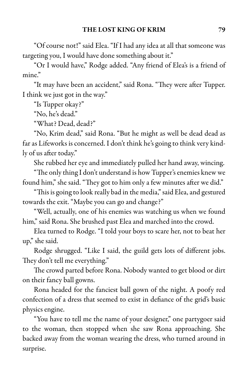"Of course not!" said Elea. "If I had any idea at all that someone was targeting you, I would have done something about it."

"Or I would have," Rodge added. "Any friend of Elea's is a friend of mine."

"It may have been an accident," said Rona. "They were after Tupper. I think we just got in the way."

"Is Tupper okay?"

"No, he's dead."

"What? Dead, dead?"

"No, Krim dead," said Rona. "But he might as well be dead dead as far as Lifeworks is concerned. I don't think he's going to think very kindly of us after today."

She rubbed her eye and immediately pulled her hand away, wincing.

"The only thing I don't understand is how Tupper's enemies knew we found him," she said. "They got to him only a few minutes after we did."

"This is going to look really bad in the media," said Elea, and gestured towards the exit. "Maybe you can go and change?"

"Well, actually, one of his enemies was watching us when we found him," said Rona. She brushed past Elea and marched into the crowd.

Elea turned to Rodge. "I told your boys to scare her, not to beat her up," she said.

Rodge shrugged. "Like I said, the guild gets lots of different jobs. They don't tell me everything."

The crowd parted before Rona. Nobody wanted to get blood or dirt on their fancy ball gowns.

Rona headed for the fanciest ball gown of the night. A poofy red confection of a dress that seemed to exist in defiance of the grid's basic physics engine.

"You have to tell me the name of your designer," one partygoer said to the woman, then stopped when she saw Rona approaching. She backed away from the woman wearing the dress, who turned around in surprise.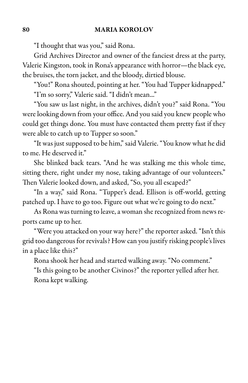"I thought that was you," said Rona.

Grid Archives Director and owner of the fanciest dress at the party, Valerie Kingston, took in Rona'sappearance with horror—the black eye, the bruises, the torn jacket, and the bloody, dirtied blouse.

"You!" Rona shouted, pointing at her. "You had Tupper kidnapped." "I'm so sorry," Valerie said. "I didn't mean..."

"You saw us last night, in the archives, didn't you?" said Rona. "You were looking down from your office. And you said you knew people who could get things done. You must have contacted them pretty fast if they were able to catch up to Tupper so soon."

"It was just supposed to be him,"said Valerie."You know what he did to me. He deserved it."

She blinked back tears. "And he was stalking me this whole time, sitting there, right under my nose, taking advantage of our volunteers." Then Valerie looked down, and asked, "So, you all escaped?"

"In a way," said Rona. "Tupper's dead. Ellison is off-world, getting patched up. I have to go too. Figure out what we're going to do next."

As Rona was turning to leave, a woman she recognized from news reports came up to her.

"Were you attacked on your way here?" the reporter asked. "Isn't this grid too dangerous for revivals? How can you justify risking people's lives in a place like this?"

Rona shook her head and started walking away. "No comment."

"Is this going to be another Civinos?" the reporter yelled after her. Rona kept walking.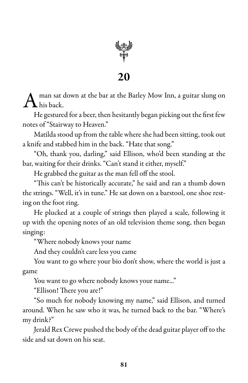

20

 $\mathrm{A}$  man sat ( man sat down at the bar at the Barley Mow Inn, a guitar slung on

He gestured for a beer, then hesitantly began picking out the first few notes of "Stairway to Heaven."

Matilda stood up from the table where she had been sitting, took out a knife and stabbed him in the back. "Hate that song."

"Oh, thank you, darling," said Ellison, who'd been standing at the bar, waiting for their drinks. "Can't stand it either, myself."

He grabbed the guitar as the man fell off the stool.

"This can't be historically accurate," he said and ran a thumb down the strings. "Well, it's in tune." He sat down on a barstool, one shoe resting on the foot ring.

He plucked at a couple of strings then played a scale, following it up with the opening notes of an old television theme song, then began singing:

"Where nobody knows your name

And they couldn't care less you came

You want to go where your bio don't show, where the world is just a game

You want to go where nobody knows your name..."

"Ellison! There you are!"

"So much for nobody knowing my name," said Ellison, and turned around. When he saw who it was, he turned back to the bar. "Where's my drink?"

Jerald Rex Crewe pushed the body of the dead guitar player off to the side and sat down on his seat.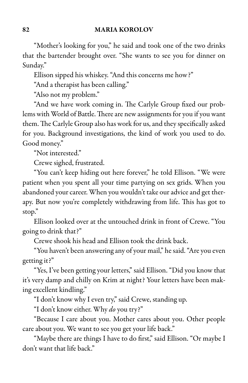### 82 MARIA KOROLOV

"Mother's looking for you," he said and took one of the two drinks that the bartender brought over. "She wants to see you for dinner on Sunday."

Ellison sipped his whiskey. "And this concerns me how?"

"And a therapist has been calling."

"Also not my problem."

"And we have work coming in. The Carlyle Group fixed our problems with World of Battle. There are new assignments for you if you want them. The Carlyle Group also has work for us, and they specifically asked for you. Background investigations, the kind of work you used to do. Good money."

"Not interested."

Crewe sighed, frustrated.

"You can't keep hiding out here forever," he told Ellison. "We were patient when you spent all your time partying on sex grids. When you abandoned your career. When you wouldn't take our advice and get therapy. But now you're completely withdrawing from life. This has got to stop."

Ellison looked over at the untouched drink in front of Crewe. "You going to drink that?"

Crewe shook his head and Ellison took the drink back.

"You haven't been answering any of your mail," he said. "Are you even getting it?"

"Yes, I've been getting your letters," said Ellison. "Did you know that it's very damp and chilly on Krim at night? Your letters have been making excellent kindling."

"I don't know why I even try," said Crewe, standing up.

"I don't know either. Why *do* you try?"

"Because I care about you. Mother cares about you. Other people care about you. We want to see you get your life back."

"Maybe there are things I have to do first," said Ellison. "Or maybe I don't want that life back."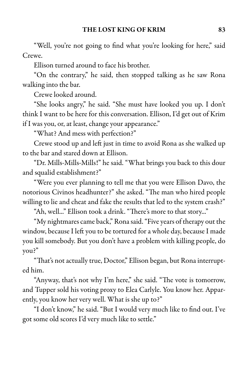"Well, you're not going to find what you're looking for here," said Crewe.

Ellison turned around to face his brother.

"On the contrary," he said, then stopped talking as he saw Rona walking into the bar.

Crewe looked around.

"She looks angry," he said. "She must have looked you up. I don't think I want to be here for this conversation. Ellison, I'd get out of Krim if I was you, or, at least, change your appearance."

"What? And mess with perfection?"

Crewe stood up and left just in time to avoid Rona as she walked up to the bar and stared down at Ellison.

"Dr. Mills-Mills-Mills!" he said. "What brings you back to this dour and squalid establishment?"

"Were you ever planning to tell me that you were Ellison Davo, the notorious Civinos headhunter?" she asked. "The man who hired people willing to lie and cheat and fake the results that led to the system crash?"

"Ah, well..." Ellison took a drink. "There's more to that story..."

"My nightmarescame back," Ronasaid."Five years of therapy out the window, because I left you to be tortured for a whole day, because I made you kill somebody. But you don't have a problem with killing people, do you?"

"That's not actually true, Doctor," Ellison began, but Rona interrupted him.

"Anyway, that's not why I'm here," she said. "The vote is tomorrow, and Tupper sold his voting proxy to Elea Carlyle. You know her. Apparently, you know her very well. What is she up to?"

"I don't know," he said. "But I would very much like to find out. I've got some old scores I'd very much like to settle."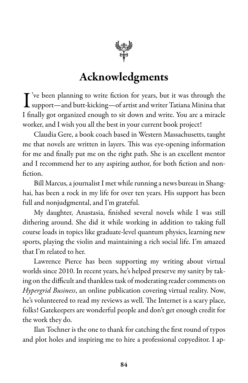

## Acknowledgments

I've been planning to write fiction for years, but it was through the support—and butt-kicking—of artist and writer Tatiana Minina that  $\mathbf T$ 've been planning to write fiction for years, but it was through the I finally got organized enough to sit down and write. You are a miracle worker, and I wish you all the best in your current book project!

Claudia Gere, a book coach based in Western Massachusetts, taught me that novels are written in layers. This was eye-opening information for me and finally put me on the right path. She is an excellent mentor and I recommend her to any aspiring author, for both fiction and nonfiction.

Bill Marcus, a journalist I met while running a news bureau in Shanghai, has been a rock in my life for over ten years. His support has been full and nonjudgmental, and I'm grateful.

My daughter, Anastasia, finished several novels while I was still dithering around. She did it while working in addition to taking full course loads in topics like graduate-level quantum physics, learning new sports, playing the violin and maintaining a rich social life. I'm amazed that I'm related to her.

Lawrence Pierce has been supporting my writing about virtual worlds since 2010. In recent years, he's helped preserve my sanity by taking on the difficult and thankless task of moderating reader comments on *Hypergrid Business*, an online publication covering virtual reality. Now, he's volunteered to read my reviews as well. The Internet is a scary place, folks! Gatekeepers are wonderful people and don't get enough credit for the work they do.

Ilan Tochner is the one to thank for catching the first round of typos and plot holes and inspiring me to hire a professional copyeditor. I ap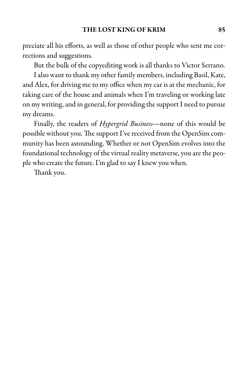preciate all his efforts, as well as those of other people who sent me corrections and suggestions.

But the bulk of the copyediting work is all thanks to Victor Serrano.

Ialso want to thank my other family members, including Basil, Kate, and Alex, for driving me to my office when my car is at the mechanic, for taking care of the house and animals when I'm traveling or working late on my writing, and in general, for providing the support I need to pursue my dreams.

Finally, the readers of *Hypergrid Business*—none of this would be possible without you. The support I've received from the OpenSim community has been astounding. Whether or not OpenSim evolves into the foundational technology of the virtual reality metaverse, you are the people who create the future. I'm glad to say I knew you when.

Thank you.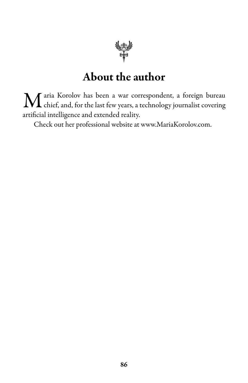

## About the author

 $\mathbf M$  aria Korolov has been a war correspondent, a foreign bureau chief, and, for the last few years, a technology journalist covering chief, and, for the last few years, a technology journalist covering artificial intelligence and extended reality.

Check out her professional website at www.MariaKorolov.com.